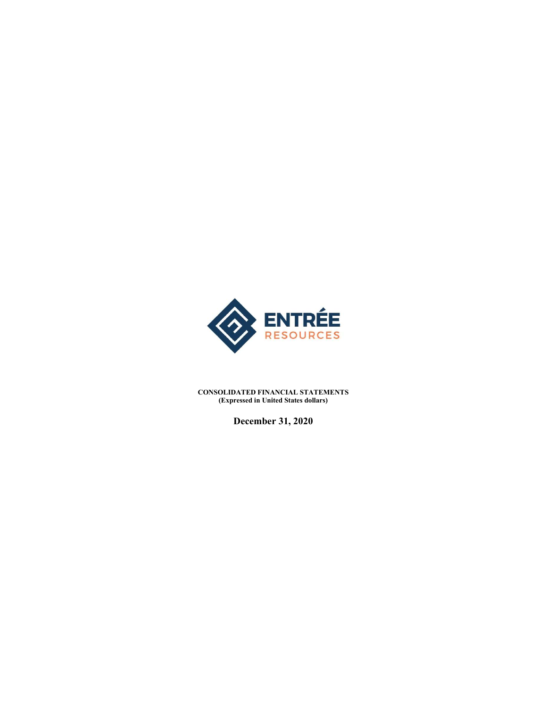

CONSOLIDATED FINANCIAL STATEMENTS (Expressed in United States dollars)

December 31, 2020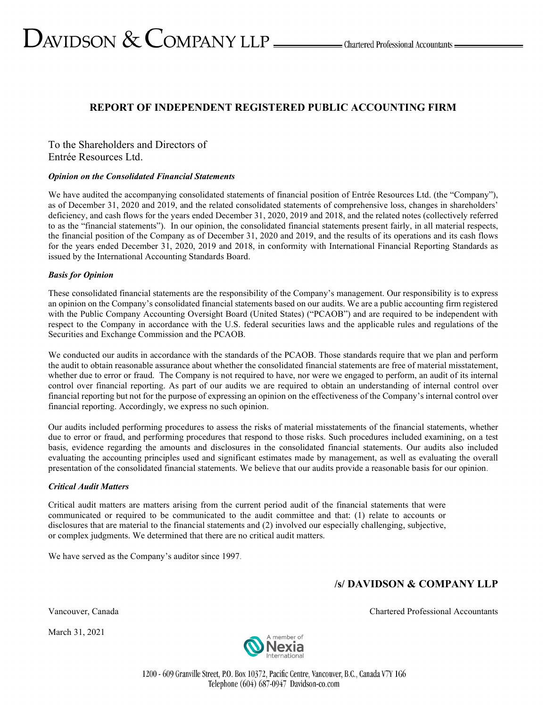# $D_{\text{AVIDSON}} \&$   $\text{COMPANY LLP}$   $\text{MLP}$   $\text{MRT}$   $\text{LTP}$   $\text{MRT}$   $\text{MRT}$   $\text{MRT}$   $\text{MRT}$   $\text{MRT}$

# REPORT OF INDEPENDENT REGISTERED PUBLIC ACCOUNTING FIRM

To the Shareholders and Directors of Entrée Resources Ltd.

### Opinion on the Consolidated Financial Statements

We have audited the accompanying consolidated statements of financial position of Entrée Resources Ltd. (the "Company"), as of December 31, 2020 and 2019, and the related consolidated statements of comprehensive loss, changes in shareholders' deficiency, and cash flows for the years ended December 31, 2020, 2019 and 2018, and the related notes (collectively referred to as the "financial statements"). In our opinion, the consolidated financial statements present fairly, in all material respects, the financial position of the Company as of December 31, 2020 and 2019, and the results of its operations and its cash flows for the years ended December 31, 2020, 2019 and 2018, in conformity with International Financial Reporting Standards as issued by the International Accounting Standards Board.

### Basis for Opinion

These consolidated financial statements are the responsibility of the Company's management. Our responsibility is to express an opinion on the Company's consolidated financial statements based on our audits. We are a public accounting firm registered with the Public Company Accounting Oversight Board (United States) ("PCAOB") and are required to be independent with respect to the Company in accordance with the U.S. federal securities laws and the applicable rules and regulations of the Securities and Exchange Commission and the PCAOB.

We conducted our audits in accordance with the standards of the PCAOB. Those standards require that we plan and perform the audit to obtain reasonable assurance about whether the consolidated financial statements are free of material misstatement, whether due to error or fraud. The Company is not required to have, nor were we engaged to perform, an audit of its internal control over financial reporting. As part of our audits we are required to obtain an understanding of internal control over financial reporting but not for the purpose of expressing an opinion on the effectiveness of the Company's internal control over financial reporting. Accordingly, we express no such opinion.

Our audits included performing procedures to assess the risks of material misstatements of the financial statements, whether due to error or fraud, and performing procedures that respond to those risks. Such procedures included examining, on a test basis, evidence regarding the amounts and disclosures in the consolidated financial statements. Our audits also included evaluating the accounting principles used and significant estimates made by management, as well as evaluating the overall presentation of the consolidated financial statements. We believe that our audits provide a reasonable basis for our opinion.

### Critical Audit Matters

Critical audit matters are matters arising from the current period audit of the financial statements that were communicated or required to be communicated to the audit committee and that: (1) relate to accounts or disclosures that are material to the financial statements and (2) involved our especially challenging, subjective, or complex judgments. We determined that there are no critical audit matters.

We have served as the Company's auditor since 1997.

### /s/ DAVIDSON & COMPANY LLP

Vancouver, Canada Chartered Professional Accountants

March 31, 2021



1200 - 609 Granville Street, P.O. Box 10372, Pacific Centre, Vancouver, B.C., Canada V7Y 1G6 Telephone (604) 687-0947 Davidson-co.com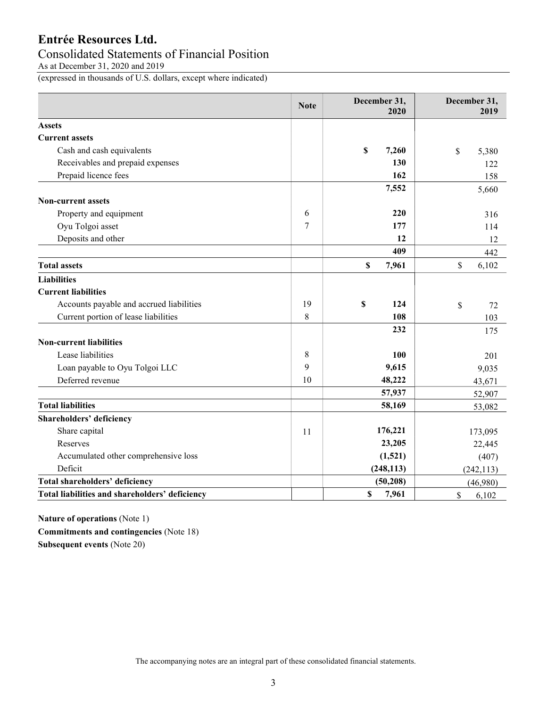# Consolidated Statements of Financial Position

As at December 31, 2020 and 2019

(expressed in thousands of U.S. dollars, except where indicated)

|                                                | <b>Note</b> | December 31,<br>2020               | December 31,<br>2019 |
|------------------------------------------------|-------------|------------------------------------|----------------------|
| <b>Assets</b>                                  |             |                                    |                      |
| <b>Current assets</b>                          |             |                                    |                      |
| Cash and cash equivalents                      |             | \$<br>7,260                        | \$<br>5,380          |
| Receivables and prepaid expenses               |             | 130                                | 122                  |
| Prepaid licence fees                           |             | 162                                | 158                  |
|                                                |             | 7,552                              | 5,660                |
| <b>Non-current assets</b>                      |             |                                    |                      |
| Property and equipment                         | 6           | 220                                | 316                  |
| Oyu Tolgoi asset                               | 7           | 177                                | 114                  |
| Deposits and other                             |             | 12                                 | 12                   |
|                                                |             | 409                                | 442                  |
| <b>Total assets</b>                            |             | $\boldsymbol{\mathsf{S}}$<br>7,961 | \$<br>6,102          |
| <b>Liabilities</b>                             |             |                                    |                      |
| <b>Current liabilities</b>                     |             |                                    |                      |
| Accounts payable and accrued liabilities       | 19          | \$<br>124                          | \$<br>72             |
| Current portion of lease liabilities           | 8           | 108                                | 103                  |
|                                                |             | 232                                | 175                  |
| <b>Non-current liabilities</b>                 |             |                                    |                      |
| Lease liabilities                              | 8           | 100                                | 201                  |
| Loan payable to Oyu Tolgoi LLC                 | 9           | 9,615                              | 9,035                |
| Deferred revenue                               | 10          | 48,222                             | 43,671               |
|                                                |             | 57,937                             | 52,907               |
| <b>Total liabilities</b>                       |             | 58,169                             | 53,082               |
| <b>Shareholders' deficiency</b>                |             |                                    |                      |
| Share capital                                  | 11          | 176,221                            | 173,095              |
| Reserves                                       |             | 23,205                             | 22,445               |
| Accumulated other comprehensive loss           |             | (1,521)                            | (407)                |
| Deficit                                        |             | (248, 113)                         | (242, 113)           |
| Total shareholders' deficiency                 |             | (50, 208)                          | (46,980)             |
| Total liabilities and shareholders' deficiency |             | \$<br>7,961                        | \$<br>6,102          |

Nature of operations (Note 1)

Commitments and contingencies (Note 18)

Subsequent events (Note 20)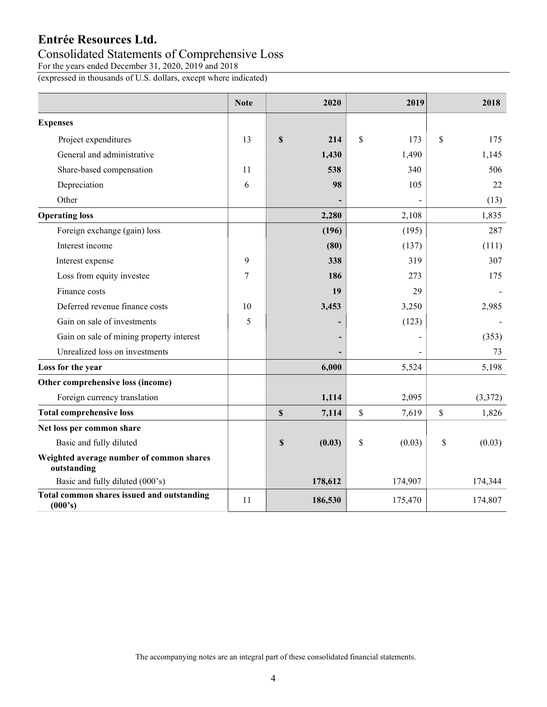# Consolidated Statements of Comprehensive Loss

For the years ended December 31, 2020, 2019 and 2018

(expressed in thousands of U.S. dollars, except where indicated)

|                                                         | <b>Note</b> |             | 2020    | 2019         | 2018         |
|---------------------------------------------------------|-------------|-------------|---------|--------------|--------------|
| <b>Expenses</b>                                         |             |             |         |              |              |
| Project expenditures                                    | 13          | $\mathbf S$ | 214     | \$<br>173    | \$<br>175    |
| General and administrative                              |             |             | 1,430   | 1,490        | 1,145        |
| Share-based compensation                                | 11          |             | 538     | 340          | 506          |
| Depreciation                                            | 6           |             | 98      | 105          | 22           |
| Other                                                   |             |             |         |              | (13)         |
| <b>Operating loss</b>                                   |             |             | 2,280   | 2,108        | 1,835        |
| Foreign exchange (gain) loss                            |             |             | (196)   | (195)        | 287          |
| Interest income                                         |             |             | (80)    | (137)        | (111)        |
| Interest expense                                        | 9           |             | 338     | 319          | 307          |
| Loss from equity investee                               | 7           |             | 186     | 273          | 175          |
| Finance costs                                           |             |             | 19      | 29           |              |
| Deferred revenue finance costs                          | 10          |             | 3,453   | 3,250        | 2,985        |
| Gain on sale of investments                             | 5           |             | -       | (123)        |              |
| Gain on sale of mining property interest                |             |             |         |              | (353)        |
| Unrealized loss on investments                          |             |             |         |              | 73           |
| Loss for the year                                       |             |             | 6,000   | 5,524        | 5,198        |
| Other comprehensive loss (income)                       |             |             |         |              |              |
| Foreign currency translation                            |             |             | 1,114   | 2,095        | (3,372)      |
| <b>Total comprehensive loss</b>                         |             | \$          | 7,114   | \$<br>7,619  | \$<br>1,826  |
| Net loss per common share                               |             |             |         |              |              |
| Basic and fully diluted                                 |             | $\mathbf S$ | (0.03)  | \$<br>(0.03) | \$<br>(0.03) |
| Weighted average number of common shares<br>outstanding |             |             |         |              |              |
| Basic and fully diluted (000's)                         |             |             | 178,612 | 174,907      | 174,344      |
| Total common shares issued and outstanding<br>(000's)   | 11          |             | 186,530 | 175,470      | 174,807      |

The accompanying notes are an integral part of these consolidated financial statements.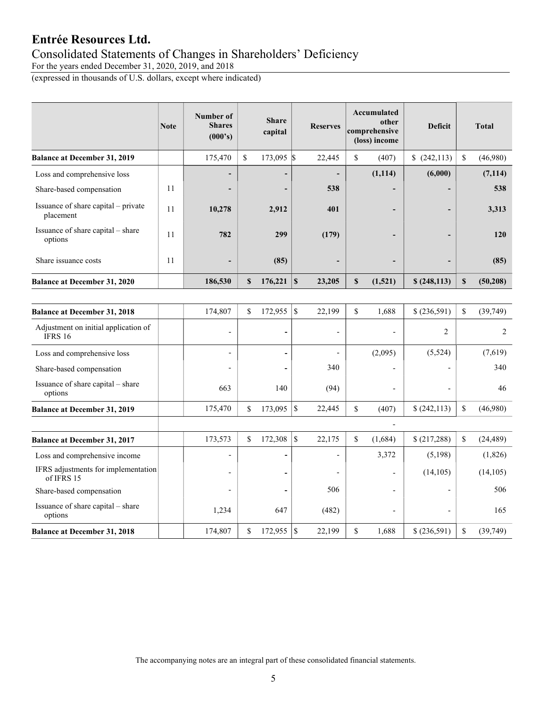# Consolidated Statements of Changes in Shareholders' Deficiency

For the years ended December 31, 2020, 2019, and 2018

(expressed in thousands of U.S. dollars, except where indicated)

|                                                   | <b>Note</b> | Number of<br><b>Shares</b><br>(000's) |              | <b>Share</b><br>capital |            | <b>Reserves</b> |             | Accumulated<br>other<br>comprehensive<br>(loss) income | <b>Deficit</b> |               | <b>Total</b> |
|---------------------------------------------------|-------------|---------------------------------------|--------------|-------------------------|------------|-----------------|-------------|--------------------------------------------------------|----------------|---------------|--------------|
| <b>Balance at December 31, 2019</b>               |             | 175,470                               | \$           | $173,095$ \$            |            | 22,445          | \$          | (407)                                                  | \$(242,113)    | \$            | (46,980)     |
| Loss and comprehensive loss                       |             |                                       |              |                         |            |                 |             | (1, 114)                                               | (6,000)        |               | (7, 114)     |
| Share-based compensation                          | 11          |                                       |              |                         |            | 538             |             |                                                        |                |               | 538          |
| Issuance of share capital - private<br>placement  | 11          | 10,278                                |              | 2,912                   |            | 401             |             |                                                        | $\overline{a}$ |               | 3,313        |
| Issuance of share capital - share<br>options      | 11          | 782                                   |              | 299                     |            | (179)           |             |                                                        |                |               | 120          |
| Share issuance costs                              | 11          |                                       |              | (85)                    |            |                 |             |                                                        |                |               | (85)         |
| <b>Balance at December 31, 2020</b>               |             | 186,530                               | \$           | 176,221                 | $\vert s$  | 23,205          | $\mathbb S$ | (1,521)                                                | \$(248,113)    | $\mathbf S$   | (50, 208)    |
|                                                   |             |                                       |              |                         |            |                 |             |                                                        |                |               |              |
| <b>Balance at December 31, 2018</b>               |             | 174,807                               | \$           | 172,955                 | $\sqrt{3}$ | 22,199          | \$          | 1,688                                                  | \$(236,591)    | $\mathbb{S}$  | (39, 749)    |
| Adjustment on initial application of<br>IFRS 16   |             |                                       |              |                         |            |                 |             |                                                        | $\overline{2}$ |               | 2            |
| Loss and comprehensive loss                       |             |                                       |              |                         |            |                 |             | (2,095)                                                | (5,524)        |               | (7,619)      |
| Share-based compensation                          |             |                                       |              |                         |            | 340             |             |                                                        |                |               | 340          |
| Issuance of share capital - share<br>options      |             | 663                                   |              | 140                     |            | (94)            |             |                                                        |                |               | 46           |
| <b>Balance at December 31, 2019</b>               |             | 175,470                               | $\mathbb{S}$ | 173,095                 | $\vert$ S  | 22,445          | \$          | (407)                                                  | \$(242,113)    | $\mathbf S$   | (46,980)     |
|                                                   |             |                                       |              |                         |            |                 |             |                                                        |                |               |              |
| <b>Balance at December 31, 2017</b>               |             | 173,573                               | $\mathbb{S}$ | 172,308                 | $\sqrt{3}$ | 22,175          | \$          | (1,684)                                                | \$(217,288)    | <sup>\$</sup> | (24, 489)    |
| Loss and comprehensive income                     |             |                                       |              |                         |            |                 |             | 3,372                                                  | (5,198)        |               | (1,826)      |
| IFRS adjustments for implementation<br>of IFRS 15 |             |                                       |              |                         |            |                 |             |                                                        | (14, 105)      |               | (14, 105)    |
| Share-based compensation                          |             |                                       |              |                         |            | 506             |             |                                                        |                |               | 506          |
| Issuance of share capital - share<br>options      |             | 1,234                                 |              | 647                     |            | (482)           |             |                                                        |                |               | 165          |
| <b>Balance at December 31, 2018</b>               |             | 174,807                               | \$           | 172,955                 | $\sqrt{S}$ | 22,199          | \$          | 1,688                                                  | \$(236,591)    | \$            | (39,749)     |

The accompanying notes are an integral part of these consolidated financial statements.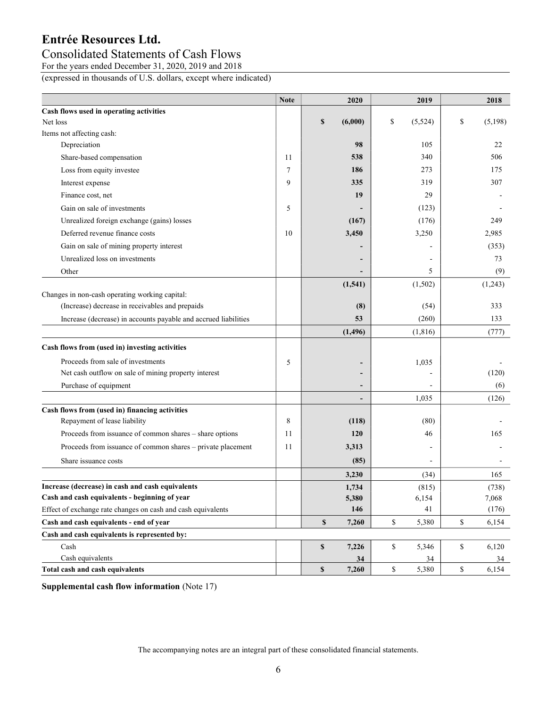# Consolidated Statements of Cash Flows

For the years ended December 31, 2020, 2019 and 2018

(expressed in thousands of U.S. dollars, except where indicated)

|                                                                 | <b>Note</b>    | 2020                         | 2019          | 2018          |
|-----------------------------------------------------------------|----------------|------------------------------|---------------|---------------|
| Cash flows used in operating activities                         |                |                              |               |               |
| Net loss                                                        |                | \$<br>(6,000)                | \$<br>(5,524) | \$<br>(5,198) |
| Items not affecting cash:                                       |                |                              |               |               |
| Depreciation                                                    |                | 98                           | 105           | 22            |
| Share-based compensation                                        | 11             | 538                          | 340           | 506           |
| Loss from equity investee                                       | $\overline{7}$ | 186                          | 273           | 175           |
| Interest expense                                                | 9              | 335                          | 319           | 307           |
| Finance cost, net                                               |                | 19                           | 29            |               |
| Gain on sale of investments                                     | 5              |                              | (123)         |               |
| Unrealized foreign exchange (gains) losses                      |                | (167)                        | (176)         | 249           |
| Deferred revenue finance costs                                  | 10             | 3,450                        | 3,250         | 2,985         |
| Gain on sale of mining property interest                        |                |                              |               | (353)         |
| Unrealized loss on investments                                  |                |                              | ٠             | 73            |
| Other                                                           |                |                              | 5             | (9)           |
|                                                                 |                | (1,541)                      | (1,502)       | (1,243)       |
| Changes in non-cash operating working capital:                  |                |                              |               |               |
| (Increase) decrease in receivables and prepaids                 |                | (8)                          | (54)          | 333           |
| Increase (decrease) in accounts payable and accrued liabilities |                | 53                           | (260)         | 133           |
|                                                                 |                | (1, 496)                     | (1, 816)      | (777)         |
| Cash flows from (used in) investing activities                  |                |                              |               |               |
| Proceeds from sale of investments                               | 5              |                              | 1,035         |               |
| Net cash outflow on sale of mining property interest            |                |                              |               | (120)         |
| Purchase of equipment                                           |                |                              |               | (6)           |
|                                                                 |                | $\qquad \qquad \blacksquare$ | 1,035         | (126)         |
| Cash flows from (used in) financing activities                  |                |                              |               |               |
| Repayment of lease liability                                    | 8              | (118)                        | (80)          |               |
| Proceeds from issuance of common shares - share options         | 11             | <b>120</b>                   | 46            | 165           |
| Proceeds from issuance of common shares – private placement     | 11             | 3,313                        | ۰             |               |
| Share issuance costs                                            |                | (85)                         |               |               |
|                                                                 |                | 3,230                        | (34)          | 165           |
| Increase (decrease) in cash and cash equivalents                |                | 1,734                        | (815)         | (738)         |
| Cash and cash equivalents - beginning of year                   |                | 5,380                        | 6,154         | 7,068         |
| Effect of exchange rate changes on cash and cash equivalents    |                | 146                          | 41            | (176)         |
| Cash and cash equivalents - end of year                         |                | \$<br>7,260                  | \$<br>5,380   | \$<br>6,154   |
| Cash and cash equivalents is represented by:                    |                |                              |               |               |
| Cash                                                            |                | \$<br>7,226                  | \$<br>5,346   | \$<br>6,120   |
| Cash equivalents                                                |                | 34                           | 34            | 34            |
| Total cash and cash equivalents                                 |                | \$<br>7,260                  | \$<br>5,380   | \$<br>6,154   |

Supplemental cash flow information (Note 17)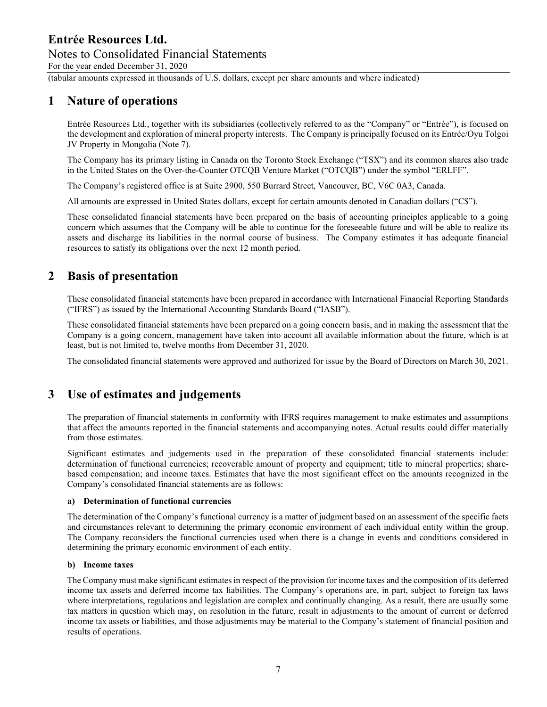# Entrée Resources Ltd. Notes to Consolidated Financial Statements

For the year ended December 31, 2020

(tabular amounts expressed in thousands of U.S. dollars, except per share amounts and where indicated)

### 1 Nature of operations

Entrée Resources Ltd., together with its subsidiaries (collectively referred to as the "Company" or "Entrée"), is focused on the development and exploration of mineral property interests. The Company is principally focused on its Entrée/Oyu Tolgoi JV Property in Mongolia (Note 7).

The Company has its primary listing in Canada on the Toronto Stock Exchange ("TSX") and its common shares also trade in the United States on the Over-the-Counter OTCQB Venture Market ("OTCQB") under the symbol "ERLFF".

The Company's registered office is at Suite 2900, 550 Burrard Street, Vancouver, BC, V6C 0A3, Canada.

All amounts are expressed in United States dollars, except for certain amounts denoted in Canadian dollars ("C\$").

These consolidated financial statements have been prepared on the basis of accounting principles applicable to a going concern which assumes that the Company will be able to continue for the foreseeable future and will be able to realize its assets and discharge its liabilities in the normal course of business. The Company estimates it has adequate financial resources to satisfy its obligations over the next 12 month period.

### 2 Basis of presentation

These consolidated financial statements have been prepared in accordance with International Financial Reporting Standards ("IFRS") as issued by the International Accounting Standards Board ("IASB").

These consolidated financial statements have been prepared on a going concern basis, and in making the assessment that the Company is a going concern, management have taken into account all available information about the future, which is at least, but is not limited to, twelve months from December 31, 2020.

The consolidated financial statements were approved and authorized for issue by the Board of Directors on March 30, 2021.

### 3 Use of estimates and judgements

The preparation of financial statements in conformity with IFRS requires management to make estimates and assumptions that affect the amounts reported in the financial statements and accompanying notes. Actual results could differ materially from those estimates.

Significant estimates and judgements used in the preparation of these consolidated financial statements include: determination of functional currencies; recoverable amount of property and equipment; title to mineral properties; sharebased compensation; and income taxes. Estimates that have the most significant effect on the amounts recognized in the Company's consolidated financial statements are as follows:

#### a) Determination of functional currencies

The determination of the Company's functional currency is a matter of judgment based on an assessment of the specific facts and circumstances relevant to determining the primary economic environment of each individual entity within the group. The Company reconsiders the functional currencies used when there is a change in events and conditions considered in determining the primary economic environment of each entity.

#### b) Income taxes

The Company must make significant estimates in respect of the provision for income taxes and the composition of its deferred income tax assets and deferred income tax liabilities. The Company's operations are, in part, subject to foreign tax laws where interpretations, regulations and legislation are complex and continually changing. As a result, there are usually some tax matters in question which may, on resolution in the future, result in adjustments to the amount of current or deferred income tax assets or liabilities, and those adjustments may be material to the Company's statement of financial position and results of operations.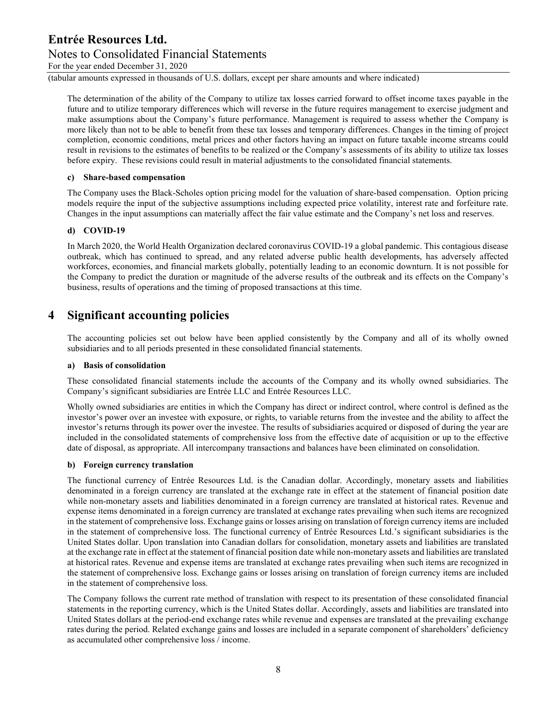(tabular amounts expressed in thousands of U.S. dollars, except per share amounts and where indicated)

The determination of the ability of the Company to utilize tax losses carried forward to offset income taxes payable in the future and to utilize temporary differences which will reverse in the future requires management to exercise judgment and make assumptions about the Company's future performance. Management is required to assess whether the Company is more likely than not to be able to benefit from these tax losses and temporary differences. Changes in the timing of project completion, economic conditions, metal prices and other factors having an impact on future taxable income streams could result in revisions to the estimates of benefits to be realized or the Company's assessments of its ability to utilize tax losses before expiry. These revisions could result in material adjustments to the consolidated financial statements.

#### c) Share-based compensation

The Company uses the Black-Scholes option pricing model for the valuation of share-based compensation. Option pricing models require the input of the subjective assumptions including expected price volatility, interest rate and forfeiture rate. Changes in the input assumptions can materially affect the fair value estimate and the Company's net loss and reserves.

### d) COVID-19

In March 2020, the World Health Organization declared coronavirus COVID-19 a global pandemic. This contagious disease outbreak, which has continued to spread, and any related adverse public health developments, has adversely affected workforces, economies, and financial markets globally, potentially leading to an economic downturn. It is not possible for the Company to predict the duration or magnitude of the adverse results of the outbreak and its effects on the Company's business, results of operations and the timing of proposed transactions at this time.

# 4 Significant accounting policies

The accounting policies set out below have been applied consistently by the Company and all of its wholly owned subsidiaries and to all periods presented in these consolidated financial statements.

### a) Basis of consolidation

These consolidated financial statements include the accounts of the Company and its wholly owned subsidiaries. The Company's significant subsidiaries are Entrée LLC and Entrée Resources LLC.

Wholly owned subsidiaries are entities in which the Company has direct or indirect control, where control is defined as the investor's power over an investee with exposure, or rights, to variable returns from the investee and the ability to affect the investor's returns through its power over the investee. The results of subsidiaries acquired or disposed of during the year are included in the consolidated statements of comprehensive loss from the effective date of acquisition or up to the effective date of disposal, as appropriate. All intercompany transactions and balances have been eliminated on consolidation.

### b) Foreign currency translation

The functional currency of Entrée Resources Ltd. is the Canadian dollar. Accordingly, monetary assets and liabilities denominated in a foreign currency are translated at the exchange rate in effect at the statement of financial position date while non-monetary assets and liabilities denominated in a foreign currency are translated at historical rates. Revenue and expense items denominated in a foreign currency are translated at exchange rates prevailing when such items are recognized in the statement of comprehensive loss. Exchange gains or losses arising on translation of foreign currency items are included in the statement of comprehensive loss. The functional currency of Entrée Resources Ltd.'s significant subsidiaries is the United States dollar. Upon translation into Canadian dollars for consolidation, monetary assets and liabilities are translated at the exchange rate in effect at the statement of financial position date while non-monetary assets and liabilities are translated at historical rates. Revenue and expense items are translated at exchange rates prevailing when such items are recognized in the statement of comprehensive loss. Exchange gains or losses arising on translation of foreign currency items are included in the statement of comprehensive loss.

The Company follows the current rate method of translation with respect to its presentation of these consolidated financial statements in the reporting currency, which is the United States dollar. Accordingly, assets and liabilities are translated into United States dollars at the period-end exchange rates while revenue and expenses are translated at the prevailing exchange rates during the period. Related exchange gains and losses are included in a separate component of shareholders' deficiency as accumulated other comprehensive loss / income.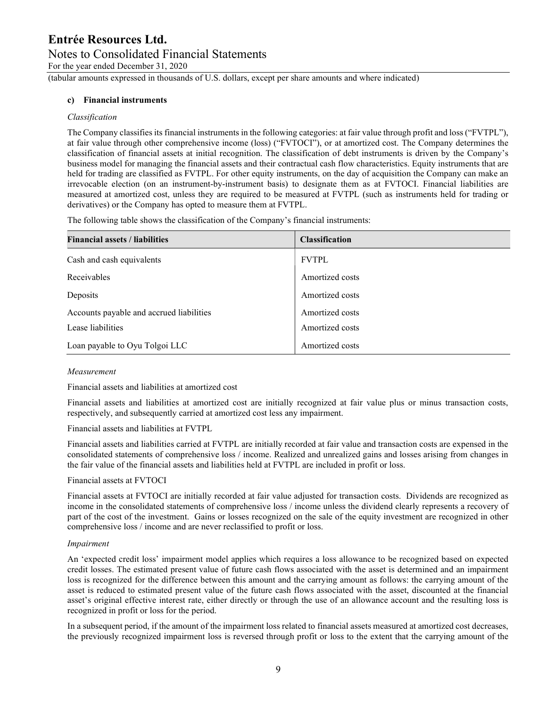(tabular amounts expressed in thousands of U.S. dollars, except per share amounts and where indicated)

#### c) Financial instruments

#### Classification

The Company classifies its financial instruments in the following categories: at fair value through profit and loss ("FVTPL"), at fair value through other comprehensive income (loss) ("FVTOCI"), or at amortized cost. The Company determines the classification of financial assets at initial recognition. The classification of debt instruments is driven by the Company's business model for managing the financial assets and their contractual cash flow characteristics. Equity instruments that are held for trading are classified as FVTPL. For other equity instruments, on the day of acquisition the Company can make an irrevocable election (on an instrument-by-instrument basis) to designate them as at FVTOCI. Financial liabilities are measured at amortized cost, unless they are required to be measured at FVTPL (such as instruments held for trading or derivatives) or the Company has opted to measure them at FVTPL.

The following table shows the classification of the Company's financial instruments:

| <b>Financial assets / liabilities</b>    | <b>Classification</b> |
|------------------------------------------|-----------------------|
| Cash and cash equivalents                | <b>FVTPL</b>          |
| Receivables                              | Amortized costs       |
| Deposits                                 | Amortized costs       |
| Accounts payable and accrued liabilities | Amortized costs       |
| Lease liabilities                        | Amortized costs       |
| Loan payable to Oyu Tolgoi LLC           | Amortized costs       |

### Measurement

Financial assets and liabilities at amortized cost

Financial assets and liabilities at amortized cost are initially recognized at fair value plus or minus transaction costs, respectively, and subsequently carried at amortized cost less any impairment.

Financial assets and liabilities at FVTPL

Financial assets and liabilities carried at FVTPL are initially recorded at fair value and transaction costs are expensed in the consolidated statements of comprehensive loss / income. Realized and unrealized gains and losses arising from changes in the fair value of the financial assets and liabilities held at FVTPL are included in profit or loss.

Financial assets at FVTOCI

Financial assets at FVTOCI are initially recorded at fair value adjusted for transaction costs. Dividends are recognized as income in the consolidated statements of comprehensive loss / income unless the dividend clearly represents a recovery of part of the cost of the investment. Gains or losses recognized on the sale of the equity investment are recognized in other comprehensive loss / income and are never reclassified to profit or loss.

#### Impairment

An 'expected credit loss' impairment model applies which requires a loss allowance to be recognized based on expected credit losses. The estimated present value of future cash flows associated with the asset is determined and an impairment loss is recognized for the difference between this amount and the carrying amount as follows: the carrying amount of the asset is reduced to estimated present value of the future cash flows associated with the asset, discounted at the financial asset's original effective interest rate, either directly or through the use of an allowance account and the resulting loss is recognized in profit or loss for the period.

In a subsequent period, if the amount of the impairment loss related to financial assets measured at amortized cost decreases, the previously recognized impairment loss is reversed through profit or loss to the extent that the carrying amount of the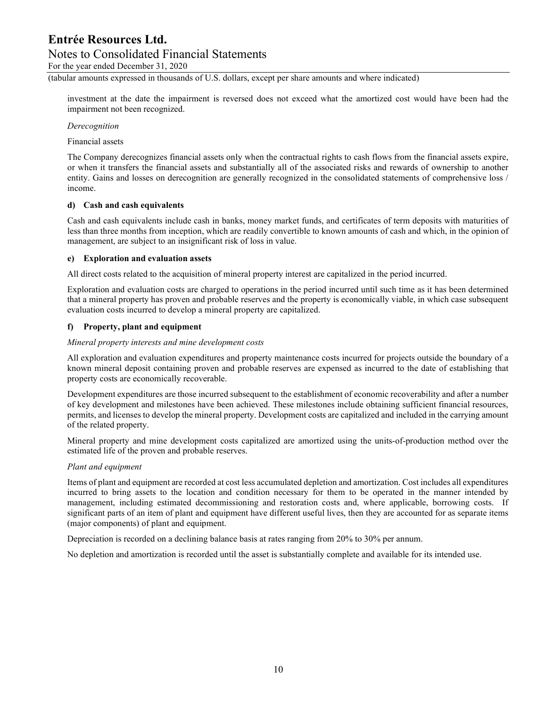(tabular amounts expressed in thousands of U.S. dollars, except per share amounts and where indicated)

investment at the date the impairment is reversed does not exceed what the amortized cost would have been had the impairment not been recognized.

#### Derecognition

Financial assets

The Company derecognizes financial assets only when the contractual rights to cash flows from the financial assets expire, or when it transfers the financial assets and substantially all of the associated risks and rewards of ownership to another entity. Gains and losses on derecognition are generally recognized in the consolidated statements of comprehensive loss / income.

### d) Cash and cash equivalents

Cash and cash equivalents include cash in banks, money market funds, and certificates of term deposits with maturities of less than three months from inception, which are readily convertible to known amounts of cash and which, in the opinion of management, are subject to an insignificant risk of loss in value.

#### e) Exploration and evaluation assets

All direct costs related to the acquisition of mineral property interest are capitalized in the period incurred.

Exploration and evaluation costs are charged to operations in the period incurred until such time as it has been determined that a mineral property has proven and probable reserves and the property is economically viable, in which case subsequent evaluation costs incurred to develop a mineral property are capitalized.

### f) Property, plant and equipment

#### Mineral property interests and mine development costs

All exploration and evaluation expenditures and property maintenance costs incurred for projects outside the boundary of a known mineral deposit containing proven and probable reserves are expensed as incurred to the date of establishing that property costs are economically recoverable.

Development expenditures are those incurred subsequent to the establishment of economic recoverability and after a number of key development and milestones have been achieved. These milestones include obtaining sufficient financial resources, permits, and licenses to develop the mineral property. Development costs are capitalized and included in the carrying amount of the related property.

Mineral property and mine development costs capitalized are amortized using the units-of-production method over the estimated life of the proven and probable reserves.

### Plant and equipment

Items of plant and equipment are recorded at cost less accumulated depletion and amortization. Cost includes all expenditures incurred to bring assets to the location and condition necessary for them to be operated in the manner intended by management, including estimated decommissioning and restoration costs and, where applicable, borrowing costs. If significant parts of an item of plant and equipment have different useful lives, then they are accounted for as separate items (major components) of plant and equipment.

Depreciation is recorded on a declining balance basis at rates ranging from 20% to 30% per annum.

No depletion and amortization is recorded until the asset is substantially complete and available for its intended use.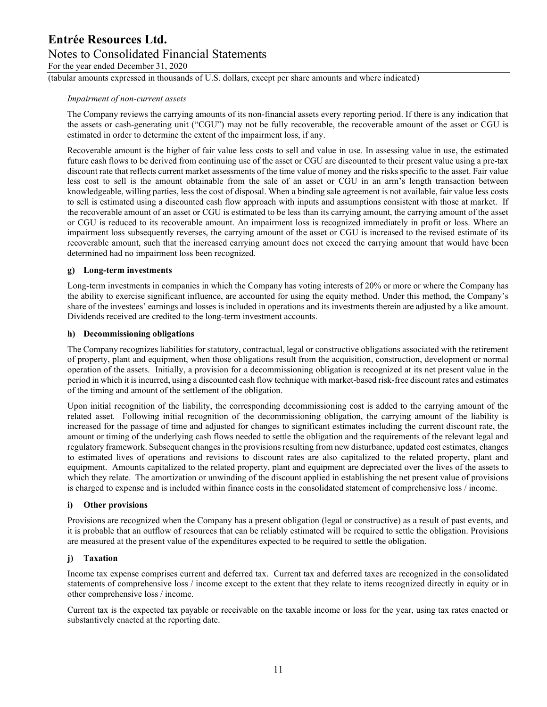(tabular amounts expressed in thousands of U.S. dollars, except per share amounts and where indicated)

#### Impairment of non-current assets

The Company reviews the carrying amounts of its non-financial assets every reporting period. If there is any indication that the assets or cash-generating unit ("CGU") may not be fully recoverable, the recoverable amount of the asset or CGU is estimated in order to determine the extent of the impairment loss, if any.

Recoverable amount is the higher of fair value less costs to sell and value in use. In assessing value in use, the estimated future cash flows to be derived from continuing use of the asset or CGU are discounted to their present value using a pre-tax discount rate that reflects current market assessments of the time value of money and the risks specific to the asset. Fair value less cost to sell is the amount obtainable from the sale of an asset or CGU in an arm's length transaction between knowledgeable, willing parties, less the cost of disposal. When a binding sale agreement is not available, fair value less costs to sell is estimated using a discounted cash flow approach with inputs and assumptions consistent with those at market. If the recoverable amount of an asset or CGU is estimated to be less than its carrying amount, the carrying amount of the asset or CGU is reduced to its recoverable amount. An impairment loss is recognized immediately in profit or loss. Where an impairment loss subsequently reverses, the carrying amount of the asset or CGU is increased to the revised estimate of its recoverable amount, such that the increased carrying amount does not exceed the carrying amount that would have been determined had no impairment loss been recognized.

### g) Long-term investments

Long-term investments in companies in which the Company has voting interests of 20% or more or where the Company has the ability to exercise significant influence, are accounted for using the equity method. Under this method, the Company's share of the investees' earnings and losses is included in operations and its investments therein are adjusted by a like amount. Dividends received are credited to the long-term investment accounts.

#### h) Decommissioning obligations

The Company recognizes liabilities for statutory, contractual, legal or constructive obligations associated with the retirement of property, plant and equipment, when those obligations result from the acquisition, construction, development or normal operation of the assets. Initially, a provision for a decommissioning obligation is recognized at its net present value in the period in which it is incurred, using a discounted cash flow technique with market-based risk-free discount rates and estimates of the timing and amount of the settlement of the obligation.

Upon initial recognition of the liability, the corresponding decommissioning cost is added to the carrying amount of the related asset. Following initial recognition of the decommissioning obligation, the carrying amount of the liability is increased for the passage of time and adjusted for changes to significant estimates including the current discount rate, the amount or timing of the underlying cash flows needed to settle the obligation and the requirements of the relevant legal and regulatory framework. Subsequent changes in the provisions resulting from new disturbance, updated cost estimates, changes to estimated lives of operations and revisions to discount rates are also capitalized to the related property, plant and equipment. Amounts capitalized to the related property, plant and equipment are depreciated over the lives of the assets to which they relate. The amortization or unwinding of the discount applied in establishing the net present value of provisions is charged to expense and is included within finance costs in the consolidated statement of comprehensive loss / income.

### i) Other provisions

Provisions are recognized when the Company has a present obligation (legal or constructive) as a result of past events, and it is probable that an outflow of resources that can be reliably estimated will be required to settle the obligation. Provisions are measured at the present value of the expenditures expected to be required to settle the obligation.

### j) Taxation

Income tax expense comprises current and deferred tax. Current tax and deferred taxes are recognized in the consolidated statements of comprehensive loss / income except to the extent that they relate to items recognized directly in equity or in other comprehensive loss / income.

Current tax is the expected tax payable or receivable on the taxable income or loss for the year, using tax rates enacted or substantively enacted at the reporting date.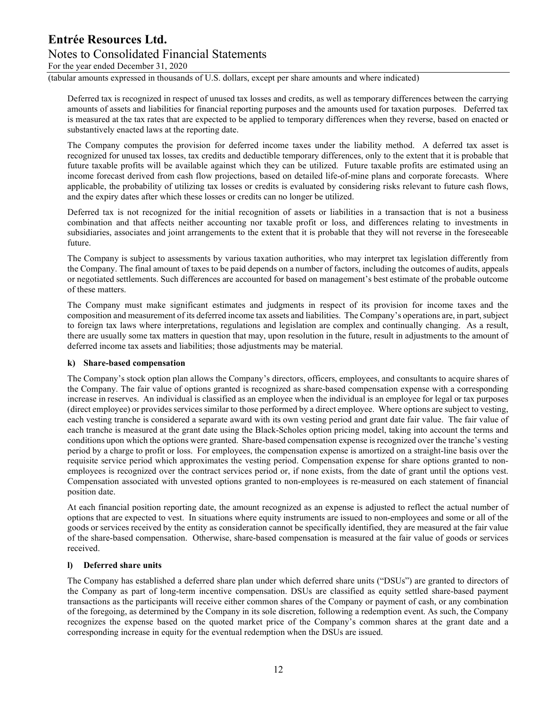(tabular amounts expressed in thousands of U.S. dollars, except per share amounts and where indicated)

Deferred tax is recognized in respect of unused tax losses and credits, as well as temporary differences between the carrying amounts of assets and liabilities for financial reporting purposes and the amounts used for taxation purposes. Deferred tax is measured at the tax rates that are expected to be applied to temporary differences when they reverse, based on enacted or substantively enacted laws at the reporting date.

The Company computes the provision for deferred income taxes under the liability method. A deferred tax asset is recognized for unused tax losses, tax credits and deductible temporary differences, only to the extent that it is probable that future taxable profits will be available against which they can be utilized. Future taxable profits are estimated using an income forecast derived from cash flow projections, based on detailed life-of-mine plans and corporate forecasts. Where applicable, the probability of utilizing tax losses or credits is evaluated by considering risks relevant to future cash flows, and the expiry dates after which these losses or credits can no longer be utilized.

Deferred tax is not recognized for the initial recognition of assets or liabilities in a transaction that is not a business combination and that affects neither accounting nor taxable profit or loss, and differences relating to investments in subsidiaries, associates and joint arrangements to the extent that it is probable that they will not reverse in the foreseeable future.

The Company is subject to assessments by various taxation authorities, who may interpret tax legislation differently from the Company. The final amount of taxes to be paid depends on a number of factors, including the outcomes of audits, appeals or negotiated settlements. Such differences are accounted for based on management's best estimate of the probable outcome of these matters.

The Company must make significant estimates and judgments in respect of its provision for income taxes and the composition and measurement of its deferred income tax assets and liabilities. The Company's operations are, in part, subject to foreign tax laws where interpretations, regulations and legislation are complex and continually changing. As a result, there are usually some tax matters in question that may, upon resolution in the future, result in adjustments to the amount of deferred income tax assets and liabilities; those adjustments may be material.

#### k) Share-based compensation

The Company's stock option plan allows the Company's directors, officers, employees, and consultants to acquire shares of the Company. The fair value of options granted is recognized as share-based compensation expense with a corresponding increase in reserves. An individual is classified as an employee when the individual is an employee for legal or tax purposes (direct employee) or provides services similar to those performed by a direct employee. Where options are subject to vesting, each vesting tranche is considered a separate award with its own vesting period and grant date fair value. The fair value of each tranche is measured at the grant date using the Black-Scholes option pricing model, taking into account the terms and conditions upon which the options were granted. Share-based compensation expense is recognized over the tranche's vesting period by a charge to profit or loss. For employees, the compensation expense is amortized on a straight-line basis over the requisite service period which approximates the vesting period. Compensation expense for share options granted to nonemployees is recognized over the contract services period or, if none exists, from the date of grant until the options vest. Compensation associated with unvested options granted to non-employees is re-measured on each statement of financial position date.

At each financial position reporting date, the amount recognized as an expense is adjusted to reflect the actual number of options that are expected to vest. In situations where equity instruments are issued to non-employees and some or all of the goods or services received by the entity as consideration cannot be specifically identified, they are measured at the fair value of the share-based compensation. Otherwise, share-based compensation is measured at the fair value of goods or services received.

#### l) Deferred share units

The Company has established a deferred share plan under which deferred share units ("DSUs") are granted to directors of the Company as part of long-term incentive compensation. DSUs are classified as equity settled share-based payment transactions as the participants will receive either common shares of the Company or payment of cash, or any combination of the foregoing, as determined by the Company in its sole discretion, following a redemption event. As such, the Company recognizes the expense based on the quoted market price of the Company's common shares at the grant date and a corresponding increase in equity for the eventual redemption when the DSUs are issued.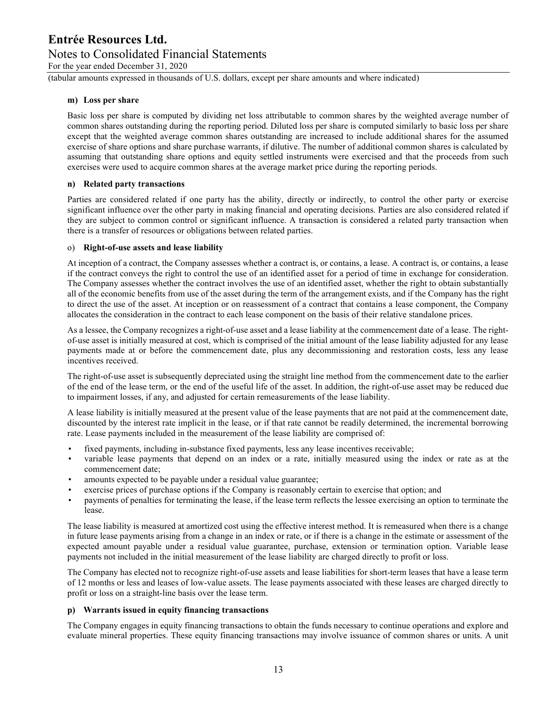(tabular amounts expressed in thousands of U.S. dollars, except per share amounts and where indicated)

#### m) Loss per share

Basic loss per share is computed by dividing net loss attributable to common shares by the weighted average number of common shares outstanding during the reporting period. Diluted loss per share is computed similarly to basic loss per share except that the weighted average common shares outstanding are increased to include additional shares for the assumed exercise of share options and share purchase warrants, if dilutive. The number of additional common shares is calculated by assuming that outstanding share options and equity settled instruments were exercised and that the proceeds from such exercises were used to acquire common shares at the average market price during the reporting periods.

#### n) Related party transactions

Parties are considered related if one party has the ability, directly or indirectly, to control the other party or exercise significant influence over the other party in making financial and operating decisions. Parties are also considered related if they are subject to common control or significant influence. A transaction is considered a related party transaction when there is a transfer of resources or obligations between related parties.

#### o) Right-of-use assets and lease liability

At inception of a contract, the Company assesses whether a contract is, or contains, a lease. A contract is, or contains, a lease if the contract conveys the right to control the use of an identified asset for a period of time in exchange for consideration. The Company assesses whether the contract involves the use of an identified asset, whether the right to obtain substantially all of the economic benefits from use of the asset during the term of the arrangement exists, and if the Company has the right to direct the use of the asset. At inception or on reassessment of a contract that contains a lease component, the Company allocates the consideration in the contract to each lease component on the basis of their relative standalone prices.

As a lessee, the Company recognizes a right-of-use asset and a lease liability at the commencement date of a lease. The rightof-use asset is initially measured at cost, which is comprised of the initial amount of the lease liability adjusted for any lease payments made at or before the commencement date, plus any decommissioning and restoration costs, less any lease incentives received.

The right-of-use asset is subsequently depreciated using the straight line method from the commencement date to the earlier of the end of the lease term, or the end of the useful life of the asset. In addition, the right-of-use asset may be reduced due to impairment losses, if any, and adjusted for certain remeasurements of the lease liability.

A lease liability is initially measured at the present value of the lease payments that are not paid at the commencement date, discounted by the interest rate implicit in the lease, or if that rate cannot be readily determined, the incremental borrowing rate. Lease payments included in the measurement of the lease liability are comprised of:

- fixed payments, including in-substance fixed payments, less any lease incentives receivable;
- variable lease payments that depend on an index or a rate, initially measured using the index or rate as at the commencement date;
- amounts expected to be payable under a residual value guarantee;
- exercise prices of purchase options if the Company is reasonably certain to exercise that option; and
- payments of penalties for terminating the lease, if the lease term reflects the lessee exercising an option to terminate the lease.

The lease liability is measured at amortized cost using the effective interest method. It is remeasured when there is a change in future lease payments arising from a change in an index or rate, or if there is a change in the estimate or assessment of the expected amount payable under a residual value guarantee, purchase, extension or termination option. Variable lease payments not included in the initial measurement of the lease liability are charged directly to profit or loss.

The Company has elected not to recognize right-of-use assets and lease liabilities for short-term leases that have a lease term of 12 months or less and leases of low-value assets. The lease payments associated with these leases are charged directly to profit or loss on a straight-line basis over the lease term.

#### p) Warrants issued in equity financing transactions

The Company engages in equity financing transactions to obtain the funds necessary to continue operations and explore and evaluate mineral properties. These equity financing transactions may involve issuance of common shares or units. A unit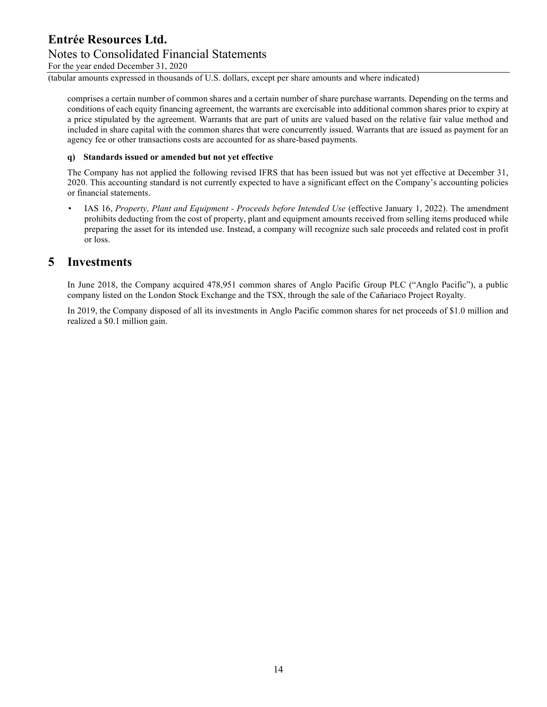(tabular amounts expressed in thousands of U.S. dollars, except per share amounts and where indicated)

comprises a certain number of common shares and a certain number of share purchase warrants. Depending on the terms and conditions of each equity financing agreement, the warrants are exercisable into additional common shares prior to expiry at a price stipulated by the agreement. Warrants that are part of units are valued based on the relative fair value method and included in share capital with the common shares that were concurrently issued. Warrants that are issued as payment for an agency fee or other transactions costs are accounted for as share‐based payments.

#### q) Standards issued or amended but not yet effective

The Company has not applied the following revised IFRS that has been issued but was not yet effective at December 31, 2020. This accounting standard is not currently expected to have a significant effect on the Company's accounting policies or financial statements.

• IAS 16, Property, Plant and Equipment - Proceeds before Intended Use (effective January 1, 2022). The amendment prohibits deducting from the cost of property, plant and equipment amounts received from selling items produced while preparing the asset for its intended use. Instead, a company will recognize such sale proceeds and related cost in profit or loss.

### 5 Investments

In June 2018, the Company acquired 478,951 common shares of Anglo Pacific Group PLC ("Anglo Pacific"), a public company listed on the London Stock Exchange and the TSX, through the sale of the Cañariaco Project Royalty.

In 2019, the Company disposed of all its investments in Anglo Pacific common shares for net proceeds of \$1.0 million and realized a \$0.1 million gain.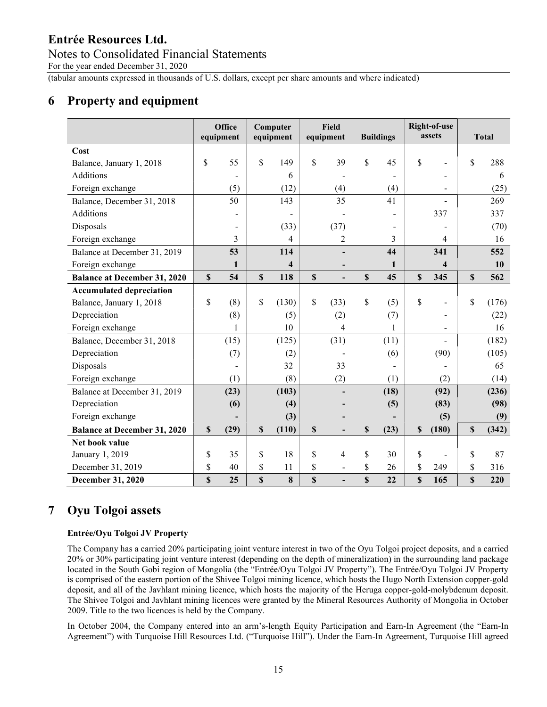Notes to Consolidated Financial Statements

For the year ended December 31, 2020

(tabular amounts expressed in thousands of U.S. dollars, except per share amounts and where indicated)

# 6 Property and equipment

|                                     | <b>Office</b><br>equipment |             | Computer<br>equipment   |             | <b>Field</b><br>equipment |              | <b>Buildings</b> |             | <b>Right-of-use</b><br>assets |             | <b>Total</b> |
|-------------------------------------|----------------------------|-------------|-------------------------|-------------|---------------------------|--------------|------------------|-------------|-------------------------------|-------------|--------------|
| Cost                                |                            |             |                         |             |                           |              |                  |             |                               |             |              |
| Balance, January 1, 2018            | \$<br>55                   | \$          | 149                     | \$          | 39                        | \$           | 45               | $\mathbf S$ | L,                            | \$          | 288          |
| Additions                           |                            |             | 6                       |             |                           |              |                  |             |                               |             | 6            |
| Foreign exchange                    | (5)                        |             | (12)                    |             | (4)                       |              | (4)              |             |                               |             | (25)         |
| Balance, December 31, 2018          | 50                         |             | 143                     |             | 35                        |              | 41               |             |                               |             | 269          |
| <b>Additions</b>                    |                            |             |                         |             |                           |              |                  |             | 337                           |             | 337          |
| Disposals                           |                            |             | (33)                    |             | (37)                      |              |                  |             |                               |             | (70)         |
| Foreign exchange                    | 3                          |             | 4                       |             | $\overline{2}$            |              | 3                |             | 4                             |             | 16           |
| Balance at December 31, 2019        | 53                         |             | 114                     |             |                           |              | 44               |             | 341                           |             | 552          |
| Foreign exchange                    | $\mathbf{1}$               |             | $\overline{\mathbf{4}}$ |             | $\overline{\phantom{a}}$  |              | $\mathbf{1}$     |             | $\overline{\mathbf{4}}$       |             | 10           |
| <b>Balance at December 31, 2020</b> | \$<br>54                   | \$          | 118                     | \$          | $\overline{\phantom{a}}$  | $\mathbb{S}$ | 45               | \$          | 345                           | <b>S</b>    | 562          |
| <b>Accumulated depreciation</b>     |                            |             |                         |             |                           |              |                  |             |                               |             |              |
| Balance, January 1, 2018            | \$<br>(8)                  | \$          | (130)                   | \$          | (33)                      | \$           | (5)              | \$          | L,                            | \$          | (176)        |
| Depreciation                        | (8)                        |             | (5)                     |             | (2)                       |              | (7)              |             |                               |             | (22)         |
| Foreign exchange                    | 1                          |             | 10                      |             | $\overline{\mathcal{A}}$  |              | 1                |             |                               |             | 16           |
| Balance, December 31, 2018          | (15)                       |             | (125)                   |             | (31)                      |              | (11)             |             |                               |             | (182)        |
| Depreciation                        | (7)                        |             | (2)                     |             |                           |              | (6)              |             | (90)                          |             | (105)        |
| Disposals                           | $\overline{\phantom{0}}$   |             | 32                      |             | 33                        |              |                  |             |                               |             | 65           |
| Foreign exchange                    | (1)                        |             | (8)                     |             | (2)                       |              | (1)              |             | (2)                           |             | (14)         |
| Balance at December 31, 2019        | (23)                       |             | (103)                   |             |                           |              | (18)             |             | (92)                          |             | (236)        |
| Depreciation                        | (6)                        |             | (4)                     |             |                           |              | (5)              |             | (83)                          |             | (98)         |
| Foreign exchange                    |                            |             | (3)                     |             | $\overline{\phantom{a}}$  |              |                  |             | (5)                           |             | (9)          |
| <b>Balance at December 31, 2020</b> | \$<br>(29)                 | $\mathbf S$ | (110)                   | $\mathbb S$ | $\overline{\phantom{a}}$  | $\mathbb{S}$ | (23)             | \$          | (180)                         | $\mathbf S$ | (342)        |
| Net book value                      |                            |             |                         |             |                           |              |                  |             |                               |             |              |
| January 1, 2019                     | \$<br>35                   | \$          | 18                      | \$          | 4                         | \$           | 30               | \$          | L,                            | \$          | 87           |
| December 31, 2019                   | \$<br>40                   | \$          | 11                      | \$          | $\blacksquare$            | \$           | 26               | \$          | 249                           | \$          | 316          |
| December 31, 2020                   | \$<br>25                   | \$          | 8                       | \$          |                           | \$           | 22               | \$          | 165                           | \$          | 220          |

# 7 Oyu Tolgoi assets

### Entrée/Oyu Tolgoi JV Property

The Company has a carried 20% participating joint venture interest in two of the Oyu Tolgoi project deposits, and a carried 20% or 30% participating joint venture interest (depending on the depth of mineralization) in the surrounding land package located in the South Gobi region of Mongolia (the "Entrée/Oyu Tolgoi JV Property"). The Entrée/Oyu Tolgoi JV Property is comprised of the eastern portion of the Shivee Tolgoi mining licence, which hosts the Hugo North Extension copper-gold deposit, and all of the Javhlant mining licence, which hosts the majority of the Heruga copper-gold-molybdenum deposit. The Shivee Tolgoi and Javhlant mining licences were granted by the Mineral Resources Authority of Mongolia in October 2009. Title to the two licences is held by the Company.

In October 2004, the Company entered into an arm's-length Equity Participation and Earn-In Agreement (the "Earn-In Agreement") with Turquoise Hill Resources Ltd. ("Turquoise Hill"). Under the Earn-In Agreement, Turquoise Hill agreed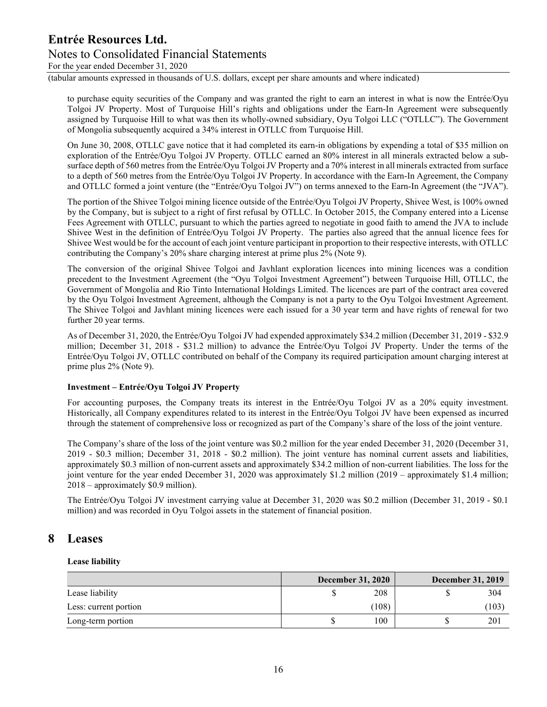(tabular amounts expressed in thousands of U.S. dollars, except per share amounts and where indicated)

to purchase equity securities of the Company and was granted the right to earn an interest in what is now the Entrée/Oyu Tolgoi JV Property. Most of Turquoise Hill's rights and obligations under the Earn-In Agreement were subsequently assigned by Turquoise Hill to what was then its wholly-owned subsidiary, Oyu Tolgoi LLC ("OTLLC"). The Government of Mongolia subsequently acquired a 34% interest in OTLLC from Turquoise Hill.

On June 30, 2008, OTLLC gave notice that it had completed its earn-in obligations by expending a total of \$35 million on exploration of the Entrée/Oyu Tolgoi JV Property. OTLLC earned an 80% interest in all minerals extracted below a subsurface depth of 560 metres from the Entrée/Oyu Tolgoi JV Property and a 70% interest in all minerals extracted from surface to a depth of 560 metres from the Entrée/Oyu Tolgoi JV Property. In accordance with the Earn-In Agreement, the Company and OTLLC formed a joint venture (the "Entrée/Oyu Tolgoi JV") on terms annexed to the Earn-In Agreement (the "JVA").

The portion of the Shivee Tolgoi mining licence outside of the Entrée/Oyu Tolgoi JV Property, Shivee West, is 100% owned by the Company, but is subject to a right of first refusal by OTLLC. In October 2015, the Company entered into a License Fees Agreement with OTLLC, pursuant to which the parties agreed to negotiate in good faith to amend the JVA to include Shivee West in the definition of Entrée/Oyu Tolgoi JV Property. The parties also agreed that the annual licence fees for Shivee West would be for the account of each joint venture participant in proportion to their respective interests, with OTLLC contributing the Company's 20% share charging interest at prime plus 2% (Note 9).

The conversion of the original Shivee Tolgoi and Javhlant exploration licences into mining licences was a condition precedent to the Investment Agreement (the "Oyu Tolgoi Investment Agreement") between Turquoise Hill, OTLLC, the Government of Mongolia and Rio Tinto International Holdings Limited. The licences are part of the contract area covered by the Oyu Tolgoi Investment Agreement, although the Company is not a party to the Oyu Tolgoi Investment Agreement. The Shivee Tolgoi and Javhlant mining licences were each issued for a 30 year term and have rights of renewal for two further 20 year terms.

As of December 31, 2020, the Entrée/Oyu Tolgoi JV had expended approximately \$34.2 million (December 31, 2019 - \$32.9 million; December 31, 2018 - \$31.2 million) to advance the Entrée/Oyu Tolgoi JV Property. Under the terms of the Entrée/Oyu Tolgoi JV, OTLLC contributed on behalf of the Company its required participation amount charging interest at prime plus 2% (Note 9).

#### Investment – Entrée/Oyu Tolgoi JV Property

For accounting purposes, the Company treats its interest in the Entrée/Oyu Tolgoi JV as a 20% equity investment. Historically, all Company expenditures related to its interest in the Entrée/Oyu Tolgoi JV have been expensed as incurred through the statement of comprehensive loss or recognized as part of the Company's share of the loss of the joint venture.

The Company's share of the loss of the joint venture was \$0.2 million for the year ended December 31, 2020 (December 31, 2019 - \$0.3 million; December 31, 2018 - \$0.2 million). The joint venture has nominal current assets and liabilities, approximately \$0.3 million of non-current assets and approximately \$34.2 million of non-current liabilities. The loss for the joint venture for the year ended December 31, 2020 was approximately \$1.2 million (2019 – approximately \$1.4 million; 2018 – approximately \$0.9 million).

The Entrée/Oyu Tolgoi JV investment carrying value at December 31, 2020 was \$0.2 million (December 31, 2019 - \$0.1 million) and was recorded in Oyu Tolgoi assets in the statement of financial position.

### 8 Leases

#### Lease liability

|                       | <b>December 31, 2020</b> | <b>December 31, 2019</b> |       |  |  |
|-----------------------|--------------------------|--------------------------|-------|--|--|
| Lease liability       | 208                      |                          | 304   |  |  |
| Less: current portion | (108)                    |                          | (103) |  |  |
| Long-term portion     | 100                      |                          | 201   |  |  |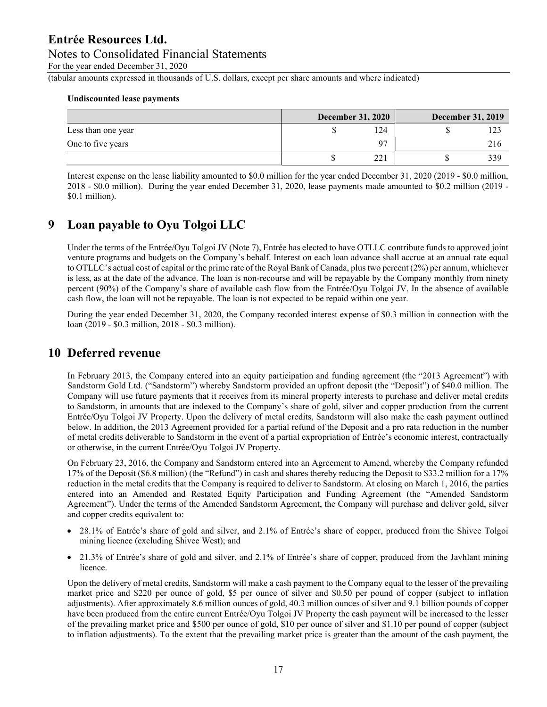### Entrée Resources Ltd. Notes to Consolidated Financial Statements

For the year ended December 31, 2020

(tabular amounts expressed in thousands of U.S. dollars, except per share amounts and where indicated)

#### Undiscounted lease payments

|                    | <b>December 31, 2020</b> | <b>December 31, 2019</b> |     |  |  |
|--------------------|--------------------------|--------------------------|-----|--|--|
| Less than one year | L 24                     |                          |     |  |  |
| One to five years  | Q <sub>7</sub>           |                          | 216 |  |  |
|                    | າາ                       |                          | 339 |  |  |

Interest expense on the lease liability amounted to \$0.0 million for the year ended December 31, 2020 (2019 - \$0.0 million, 2018 - \$0.0 million). During the year ended December 31, 2020, lease payments made amounted to \$0.2 million (2019 - \$0.1 million).

# 9 Loan payable to Oyu Tolgoi LLC

Under the terms of the Entrée/Oyu Tolgoi JV (Note 7), Entrée has elected to have OTLLC contribute funds to approved joint venture programs and budgets on the Company's behalf. Interest on each loan advance shall accrue at an annual rate equal to OTLLC's actual cost of capital or the prime rate of the Royal Bank of Canada, plus two percent (2%) per annum, whichever is less, as at the date of the advance. The loan is non-recourse and will be repayable by the Company monthly from ninety percent (90%) of the Company's share of available cash flow from the Entrée/Oyu Tolgoi JV. In the absence of available cash flow, the loan will not be repayable. The loan is not expected to be repaid within one year.

During the year ended December 31, 2020, the Company recorded interest expense of \$0.3 million in connection with the loan (2019 - \$0.3 million, 2018 - \$0.3 million).

### 10 Deferred revenue

In February 2013, the Company entered into an equity participation and funding agreement (the "2013 Agreement") with Sandstorm Gold Ltd. ("Sandstorm") whereby Sandstorm provided an upfront deposit (the "Deposit") of \$40.0 million. The Company will use future payments that it receives from its mineral property interests to purchase and deliver metal credits to Sandstorm, in amounts that are indexed to the Company's share of gold, silver and copper production from the current Entrée/Oyu Tolgoi JV Property. Upon the delivery of metal credits, Sandstorm will also make the cash payment outlined below. In addition, the 2013 Agreement provided for a partial refund of the Deposit and a pro rata reduction in the number of metal credits deliverable to Sandstorm in the event of a partial expropriation of Entrée's economic interest, contractually or otherwise, in the current Entrée/Oyu Tolgoi JV Property.

On February 23, 2016, the Company and Sandstorm entered into an Agreement to Amend, whereby the Company refunded 17% of the Deposit (\$6.8 million) (the "Refund") in cash and shares thereby reducing the Deposit to \$33.2 million for a 17% reduction in the metal credits that the Company is required to deliver to Sandstorm. At closing on March 1, 2016, the parties entered into an Amended and Restated Equity Participation and Funding Agreement (the "Amended Sandstorm Agreement"). Under the terms of the Amended Sandstorm Agreement, the Company will purchase and deliver gold, silver and copper credits equivalent to:

- 28.1% of Entrée's share of gold and silver, and 2.1% of Entrée's share of copper, produced from the Shivee Tolgoi mining licence (excluding Shivee West); and
- 21.3% of Entrée's share of gold and silver, and 2.1% of Entrée's share of copper, produced from the Javhlant mining licence.

Upon the delivery of metal credits, Sandstorm will make a cash payment to the Company equal to the lesser of the prevailing market price and \$220 per ounce of gold, \$5 per ounce of silver and \$0.50 per pound of copper (subject to inflation adjustments). After approximately 8.6 million ounces of gold, 40.3 million ounces of silver and 9.1 billion pounds of copper have been produced from the entire current Entrée/Oyu Tolgoi JV Property the cash payment will be increased to the lesser of the prevailing market price and \$500 per ounce of gold, \$10 per ounce of silver and \$1.10 per pound of copper (subject to inflation adjustments). To the extent that the prevailing market price is greater than the amount of the cash payment, the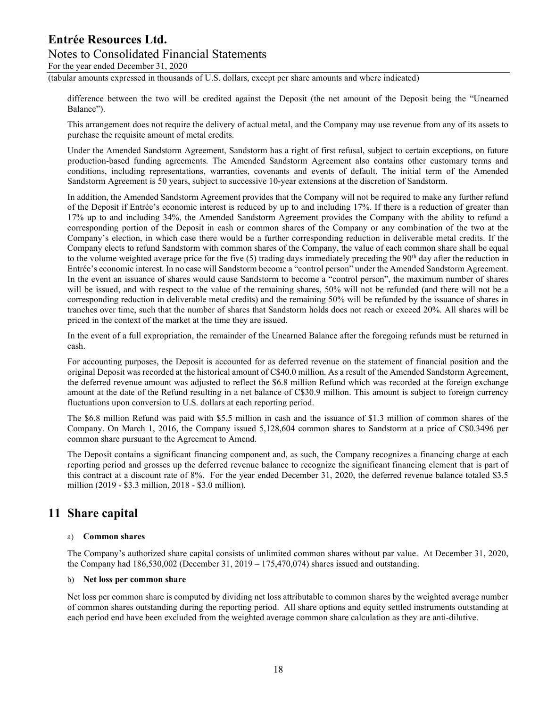(tabular amounts expressed in thousands of U.S. dollars, except per share amounts and where indicated)

difference between the two will be credited against the Deposit (the net amount of the Deposit being the "Unearned Balance").

This arrangement does not require the delivery of actual metal, and the Company may use revenue from any of its assets to purchase the requisite amount of metal credits.

Under the Amended Sandstorm Agreement, Sandstorm has a right of first refusal, subject to certain exceptions, on future production-based funding agreements. The Amended Sandstorm Agreement also contains other customary terms and conditions, including representations, warranties, covenants and events of default. The initial term of the Amended Sandstorm Agreement is 50 years, subject to successive 10-year extensions at the discretion of Sandstorm.

In addition, the Amended Sandstorm Agreement provides that the Company will not be required to make any further refund of the Deposit if Entrée's economic interest is reduced by up to and including 17%. If there is a reduction of greater than 17% up to and including 34%, the Amended Sandstorm Agreement provides the Company with the ability to refund a corresponding portion of the Deposit in cash or common shares of the Company or any combination of the two at the Company's election, in which case there would be a further corresponding reduction in deliverable metal credits. If the Company elects to refund Sandstorm with common shares of the Company, the value of each common share shall be equal to the volume weighted average price for the five  $(5)$  trading days immediately preceding the 90<sup>th</sup> day after the reduction in Entrée's economic interest. In no case will Sandstorm become a "control person" under the Amended Sandstorm Agreement. In the event an issuance of shares would cause Sandstorm to become a "control person", the maximum number of shares will be issued, and with respect to the value of the remaining shares, 50% will not be refunded (and there will not be a corresponding reduction in deliverable metal credits) and the remaining 50% will be refunded by the issuance of shares in tranches over time, such that the number of shares that Sandstorm holds does not reach or exceed 20%. All shares will be priced in the context of the market at the time they are issued.

In the event of a full expropriation, the remainder of the Unearned Balance after the foregoing refunds must be returned in cash.

For accounting purposes, the Deposit is accounted for as deferred revenue on the statement of financial position and the original Deposit was recorded at the historical amount of C\$40.0 million. As a result of the Amended Sandstorm Agreement, the deferred revenue amount was adjusted to reflect the \$6.8 million Refund which was recorded at the foreign exchange amount at the date of the Refund resulting in a net balance of C\$30.9 million. This amount is subject to foreign currency fluctuations upon conversion to U.S. dollars at each reporting period.

The \$6.8 million Refund was paid with \$5.5 million in cash and the issuance of \$1.3 million of common shares of the Company. On March 1, 2016, the Company issued 5,128,604 common shares to Sandstorm at a price of C\$0.3496 per common share pursuant to the Agreement to Amend.

The Deposit contains a significant financing component and, as such, the Company recognizes a financing charge at each reporting period and grosses up the deferred revenue balance to recognize the significant financing element that is part of this contract at a discount rate of 8%. For the year ended December 31, 2020, the deferred revenue balance totaled \$3.5 million (2019 - \$3.3 million, 2018 - \$3.0 million).

### 11 Share capital

#### a) Common shares

The Company's authorized share capital consists of unlimited common shares without par value. At December 31, 2020, the Company had  $186,530,002$  (December 31, 2019 – 175,470,074) shares issued and outstanding.

#### b) Net loss per common share

Net loss per common share is computed by dividing net loss attributable to common shares by the weighted average number of common shares outstanding during the reporting period. All share options and equity settled instruments outstanding at each period end have been excluded from the weighted average common share calculation as they are anti-dilutive.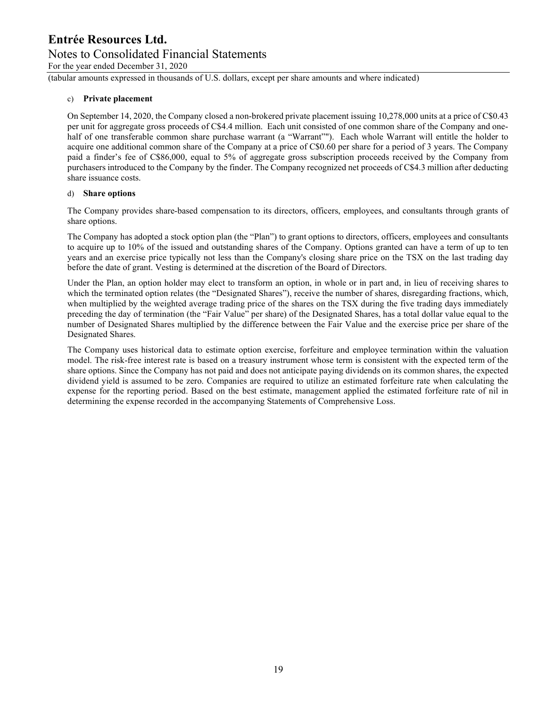(tabular amounts expressed in thousands of U.S. dollars, except per share amounts and where indicated)

#### c) Private placement

On September 14, 2020, the Company closed a non-brokered private placement issuing 10,278,000 units at a price of C\$0.43 per unit for aggregate gross proceeds of C\$4.4 million. Each unit consisted of one common share of the Company and onehalf of one transferable common share purchase warrant (a "Warrant""). Each whole Warrant will entitle the holder to acquire one additional common share of the Company at a price of C\$0.60 per share for a period of 3 years. The Company paid a finder's fee of C\$86,000, equal to 5% of aggregate gross subscription proceeds received by the Company from purchasers introduced to the Company by the finder. The Company recognized net proceeds of C\$4.3 million after deducting share issuance costs.

#### d) Share options

The Company provides share-based compensation to its directors, officers, employees, and consultants through grants of share options.

The Company has adopted a stock option plan (the "Plan") to grant options to directors, officers, employees and consultants to acquire up to 10% of the issued and outstanding shares of the Company. Options granted can have a term of up to ten years and an exercise price typically not less than the Company's closing share price on the TSX on the last trading day before the date of grant. Vesting is determined at the discretion of the Board of Directors.

Under the Plan, an option holder may elect to transform an option, in whole or in part and, in lieu of receiving shares to which the terminated option relates (the "Designated Shares"), receive the number of shares, disregarding fractions, which, when multiplied by the weighted average trading price of the shares on the TSX during the five trading days immediately preceding the day of termination (the "Fair Value" per share) of the Designated Shares, has a total dollar value equal to the number of Designated Shares multiplied by the difference between the Fair Value and the exercise price per share of the Designated Shares.

The Company uses historical data to estimate option exercise, forfeiture and employee termination within the valuation model. The risk-free interest rate is based on a treasury instrument whose term is consistent with the expected term of the share options. Since the Company has not paid and does not anticipate paying dividends on its common shares, the expected dividend yield is assumed to be zero. Companies are required to utilize an estimated forfeiture rate when calculating the expense for the reporting period. Based on the best estimate, management applied the estimated forfeiture rate of nil in determining the expense recorded in the accompanying Statements of Comprehensive Loss.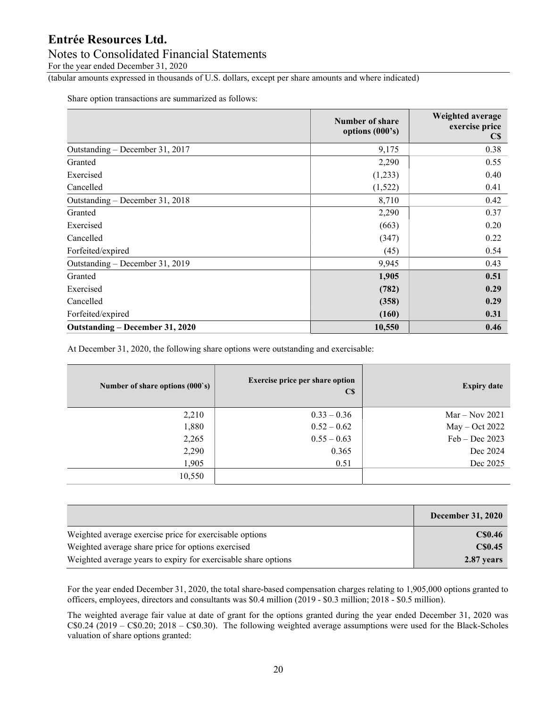# Notes to Consolidated Financial Statements

For the year ended December 31, 2020

(tabular amounts expressed in thousands of U.S. dollars, except per share amounts and where indicated)

|                                 | Number of share<br>options (000's) | Weighted average<br>exercise price<br>$\mathbf{C}\mathbf{S}$ |
|---------------------------------|------------------------------------|--------------------------------------------------------------|
| Outstanding – December 31, 2017 | 9,175                              | 0.38                                                         |
| Granted                         | 2,290                              | 0.55                                                         |
| Exercised                       | (1,233)                            | 0.40                                                         |
| Cancelled                       | (1,522)                            | 0.41                                                         |
| Outstanding – December 31, 2018 | 8,710                              | 0.42                                                         |
| Granted                         | 2,290                              | 0.37                                                         |
| Exercised                       | (663)                              | 0.20                                                         |
| Cancelled                       | (347)                              | 0.22                                                         |
| Forfeited/expired               | (45)                               | 0.54                                                         |
| Outstanding - December 31, 2019 | 9,945                              | 0.43                                                         |
| Granted                         | 1,905                              | 0.51                                                         |
| Exercised                       | (782)                              | 0.29                                                         |
| Cancelled                       | (358)                              | 0.29                                                         |
| Forfeited/expired               | (160)                              | 0.31                                                         |
| Outstanding – December 31, 2020 | 10,550                             | 0.46                                                         |

Share option transactions are summarized as follows:

At December 31, 2020, the following share options were outstanding and exercisable:

| Number of share options (000's) | <b>Exercise price per share option</b><br>$\mathbf{C}\mathbf{S}$ | <b>Expiry date</b> |
|---------------------------------|------------------------------------------------------------------|--------------------|
| 2,210                           | $0.33 - 0.36$                                                    | $Mar - Nov 2021$   |
| 1,880                           | $0.52 - 0.62$                                                    | $May - Oct 2022$   |
| 2,265                           | $0.55 - 0.63$                                                    | $Feb - Dec 2023$   |
| 2,290                           | 0.365                                                            | Dec 2024           |
| 1,905                           | 0.51                                                             | Dec 2025           |
| 10,550                          |                                                                  |                    |

|                                                                | <b>December 31, 2020</b> |
|----------------------------------------------------------------|--------------------------|
| Weighted average exercise price for exercisable options        | <b>CS0.46</b>            |
| Weighted average share price for options exercised             | <b>CS0.45</b>            |
| Weighted average years to expiry for exercisable share options | 2.87 years               |

For the year ended December 31, 2020, the total share-based compensation charges relating to 1,905,000 options granted to officers, employees, directors and consultants was \$0.4 million (2019 - \$0.3 million; 2018 - \$0.5 million).

The weighted average fair value at date of grant for the options granted during the year ended December 31, 2020 was C\$0.24 (2019 – C\$0.20; 2018 – C\$0.30). The following weighted average assumptions were used for the Black-Scholes valuation of share options granted: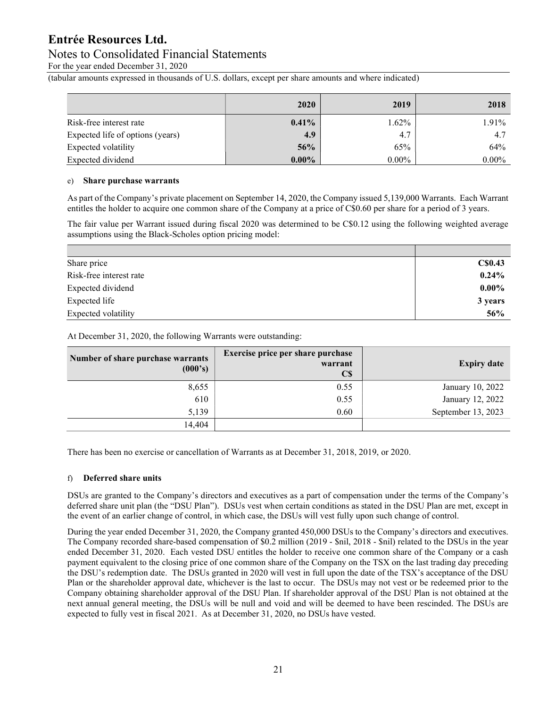### Notes to Consolidated Financial Statements

For the year ended December 31, 2020

(tabular amounts expressed in thousands of U.S. dollars, except per share amounts and where indicated)

|                                                             | 2020            | 2019         | 2018         |
|-------------------------------------------------------------|-----------------|--------------|--------------|
| Risk-free interest rate<br>Expected life of options (years) | $0.41\%$<br>4.9 | 1.62%<br>4.7 | 1.91%<br>4.7 |
| Expected volatility                                         | 56%             | 65%          | 64%          |
| Expected dividend                                           | $0.00\%$        | $0.00\%$     | $0.00\%$     |

### e) Share purchase warrants

As part of the Company's private placement on September 14, 2020, the Company issued 5,139,000 Warrants. Each Warrant entitles the holder to acquire one common share of the Company at a price of C\$0.60 per share for a period of 3 years.

The fair value per Warrant issued during fiscal 2020 was determined to be C\$0.12 using the following weighted average assumptions using the Black-Scholes option pricing model:

| Share price             | <b>C\$0.43</b> |
|-------------------------|----------------|
| Risk-free interest rate | $0.24\%$       |
| Expected dividend       | $0.00\%$       |
| Expected life           | 3 years        |
| Expected volatility     | 56%            |

At December 31, 2020, the following Warrants were outstanding:

| Number of share purchase warrants<br>(000's) | Exercise price per share purchase<br>warrant<br>$\mathbf{C}\mathbf{S}$ | <b>Expiry date</b> |
|----------------------------------------------|------------------------------------------------------------------------|--------------------|
| 8,655                                        | 0.55                                                                   | January 10, 2022   |
| 610                                          | 0.55                                                                   | January 12, 2022   |
| 5,139                                        | 0.60                                                                   | September 13, 2023 |
| 14,404                                       |                                                                        |                    |

There has been no exercise or cancellation of Warrants as at December 31, 2018, 2019, or 2020.

### f) Deferred share units

DSUs are granted to the Company's directors and executives as a part of compensation under the terms of the Company's deferred share unit plan (the "DSU Plan"). DSUs vest when certain conditions as stated in the DSU Plan are met, except in the event of an earlier change of control, in which case, the DSUs will vest fully upon such change of control.

During the year ended December 31, 2020, the Company granted 450,000 DSUs to the Company's directors and executives. The Company recorded share-based compensation of \$0.2 million (2019 - \$nil, 2018 - \$nil) related to the DSUs in the year ended December 31, 2020. Each vested DSU entitles the holder to receive one common share of the Company or a cash payment equivalent to the closing price of one common share of the Company on the TSX on the last trading day preceding the DSU's redemption date. The DSUs granted in 2020 will vest in full upon the date of the TSX's acceptance of the DSU Plan or the shareholder approval date, whichever is the last to occur. The DSUs may not vest or be redeemed prior to the Company obtaining shareholder approval of the DSU Plan. If shareholder approval of the DSU Plan is not obtained at the next annual general meeting, the DSUs will be null and void and will be deemed to have been rescinded. The DSUs are expected to fully vest in fiscal 2021. As at December 31, 2020, no DSUs have vested.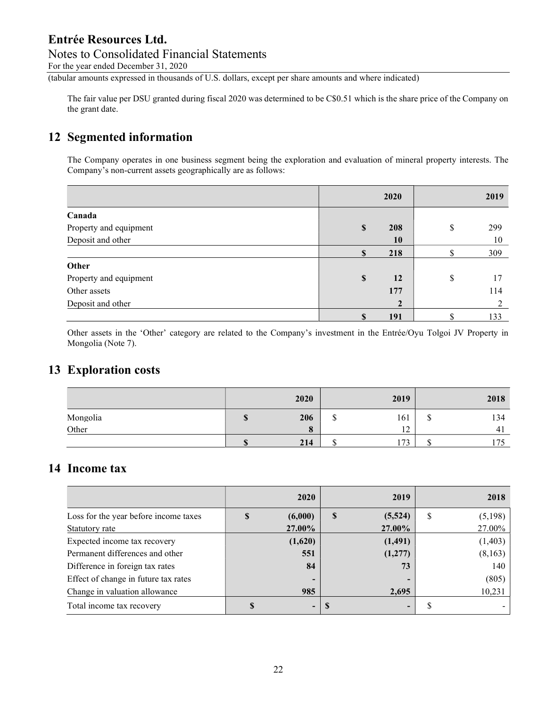(tabular amounts expressed in thousands of U.S. dollars, except per share amounts and where indicated)

The fair value per DSU granted during fiscal 2020 was determined to be C\$0.51 which is the share price of the Company on the grant date.

### 12 Segmented information

The Company operates in one business segment being the exploration and evaluation of mineral property interests. The Company's non-current assets geographically are as follows:

|                        |             | 2020           | 2019      |
|------------------------|-------------|----------------|-----------|
| Canada                 |             |                |           |
| Property and equipment | $\mathbb S$ | 208            | \$<br>299 |
| Deposit and other      |             | 10             | 10        |
|                        | <b>S</b>    | 218            | 309       |
| Other                  |             |                |           |
| Property and equipment | $\mathbb S$ | 12             | \$<br>17  |
| Other assets           |             | 177            | 114       |
| Deposit and other      |             | $\overline{2}$ |           |
|                        | S           | 191            | 133       |

Other assets in the 'Other' category are related to the Company's investment in the Entrée/Oyu Tolgoi JV Property in Mongolia (Note 7).

# 13 Exploration costs

|          |   | 2020 |   | 2019    |   | 2018 |
|----------|---|------|---|---------|---|------|
| Mongolia | Φ | 206  | Φ | 161     | Φ | 134  |
| Other    |   |      |   | າາ<br>┸ |   | 41   |
|          |   | 214  |   | 173     |   | 75   |

### 14 Income tax

|                                       |   | 2020    |   | 2019     |   | 2018    |
|---------------------------------------|---|---------|---|----------|---|---------|
| Loss for the year before income taxes | S | (6,000) | S | (5,524)  | S | (5,198) |
| Statutory rate                        |   | 27.00%  |   | 27.00%   |   | 27.00%  |
| Expected income tax recovery          |   | (1,620) |   | (1, 491) |   | (1,403) |
| Permanent differences and other       |   | 551     |   | (1,277)  |   | (8,163) |
| Difference in foreign tax rates       |   | 84      |   | 73       |   | 140     |
| Effect of change in future tax rates  |   |         |   |          |   | (805)   |
| Change in valuation allowance         |   | 985     |   | 2,695    |   | 10,231  |
| Total income tax recovery             |   |         |   |          |   |         |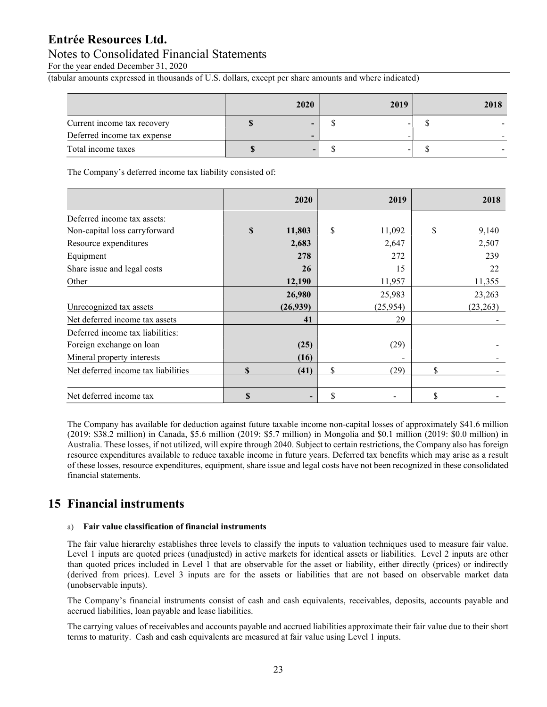### Notes to Consolidated Financial Statements

For the year ended December 31, 2020

(tabular amounts expressed in thousands of U.S. dollars, except per share amounts and where indicated)

|                             | 2020                     | 2019 | 2018 |
|-----------------------------|--------------------------|------|------|
| Current income tax recovery |                          |      |      |
| Deferred income tax expense |                          |      |      |
| Total income taxes          | $\overline{\phantom{0}}$ |      |      |

The Company's deferred income tax liability consisted of:

|                                     |              | 2020     | 2019         | 2018        |
|-------------------------------------|--------------|----------|--------------|-------------|
| Deferred income tax assets:         |              |          |              |             |
| Non-capital loss carryforward       | <b>S</b>     | 11,803   | \$<br>11,092 | \$<br>9,140 |
| Resource expenditures               |              | 2,683    | 2,647        | 2,507       |
| Equipment                           |              | 278      | 272          | 239         |
| Share issue and legal costs         |              | 26       | 15           | 22          |
| Other                               |              | 12,190   | 11,957       | 11,355      |
|                                     |              | 26,980   | 25,983       | 23,263      |
| Unrecognized tax assets             |              | (26,939) | (25, 954)    | (23, 263)   |
| Net deferred income tax assets      |              | 41       | 29           |             |
| Deferred income tax liabilities:    |              |          |              |             |
| Foreign exchange on loan            |              | (25)     | (29)         |             |
| Mineral property interests          |              | (16)     |              |             |
| Net deferred income tax liabilities | $\mathbf{s}$ | (41)     | \$<br>(29)   | \$          |
|                                     |              |          |              |             |
| Net deferred income tax             | S            |          | \$           | \$          |

The Company has available for deduction against future taxable income non-capital losses of approximately \$41.6 million (2019: \$38.2 million) in Canada, \$5.6 million (2019: \$5.7 million) in Mongolia and \$0.1 million (2019: \$0.0 million) in Australia. These losses, if not utilized, will expire through 2040. Subject to certain restrictions, the Company also has foreign resource expenditures available to reduce taxable income in future years. Deferred tax benefits which may arise as a result of these losses, resource expenditures, equipment, share issue and legal costs have not been recognized in these consolidated financial statements.

### 15 Financial instruments

### a) Fair value classification of financial instruments

The fair value hierarchy establishes three levels to classify the inputs to valuation techniques used to measure fair value. Level 1 inputs are quoted prices (unadjusted) in active markets for identical assets or liabilities. Level 2 inputs are other than quoted prices included in Level 1 that are observable for the asset or liability, either directly (prices) or indirectly (derived from prices). Level 3 inputs are for the assets or liabilities that are not based on observable market data (unobservable inputs).

The Company's financial instruments consist of cash and cash equivalents, receivables, deposits, accounts payable and accrued liabilities, loan payable and lease liabilities.

The carrying values of receivables and accounts payable and accrued liabilities approximate their fair value due to their short terms to maturity. Cash and cash equivalents are measured at fair value using Level 1 inputs.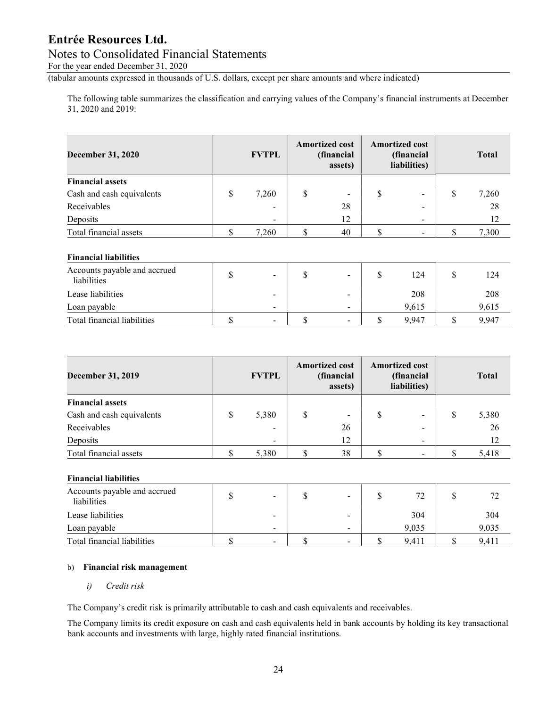# Entrée Resources Ltd. Notes to Consolidated Financial Statements

For the year ended December 31, 2020

(tabular amounts expressed in thousands of U.S. dollars, except per share amounts and where indicated)

The following table summarizes the classification and carrying values of the Company's financial instruments at December 31, 2020 and 2019:

| <b>December 31, 2020</b>  | <b>FVTPL</b> | <b>Amortized cost</b><br>(financial<br>assets) |                | <b>Amortized cost</b><br>(financial<br>liabilities) |                          |   | <b>Total</b> |
|---------------------------|--------------|------------------------------------------------|----------------|-----------------------------------------------------|--------------------------|---|--------------|
| <b>Financial assets</b>   |              |                                                |                |                                                     |                          |   |              |
| Cash and cash equivalents | \$<br>7,260  | \$                                             | $\overline{ }$ | S                                                   |                          | S | 7,260        |
| Receivables               |              |                                                | 28             |                                                     |                          |   | 28           |
| Deposits                  |              |                                                | 12             |                                                     |                          |   | 12           |
| Total financial assets    | 7,260        |                                                | 40             |                                                     | $\overline{\phantom{0}}$ |   | 7,300        |

### Financial liabilities

| Accounts payable and accrued<br>liabilities | $\overline{\phantom{a}}$ | $\overline{\phantom{a}}$ | 124   | 124   |
|---------------------------------------------|--------------------------|--------------------------|-------|-------|
| Lease liabilities                           | $\overline{\phantom{a}}$ | -                        | 208   | 208   |
| Loan payable                                | $\overline{\phantom{a}}$ | $\overline{\phantom{a}}$ | 9.615 | 9,615 |
| Total financial liabilities                 | $\overline{\phantom{a}}$ | $\overline{\phantom{a}}$ | 9.947 | 9.947 |

| <b>December 31, 2019</b>  |   | <b>FVTPL</b>             | <b>Amortized cost</b><br>(financial<br>assets) | <b>Amortized cost</b> | (financial)<br>liabilities) |   | <b>Total</b> |
|---------------------------|---|--------------------------|------------------------------------------------|-----------------------|-----------------------------|---|--------------|
| <b>Financial assets</b>   |   |                          |                                                |                       |                             |   |              |
| Cash and cash equivalents | S | 5,380                    | \$<br>$\overline{\phantom{a}}$                 |                       | $\overline{\phantom{0}}$    | S | 5,380        |
| Receivables               |   |                          | 26                                             |                       |                             |   | 26           |
| Deposits                  |   | $\overline{\phantom{a}}$ | 12                                             |                       | -                           |   | 12           |
| Total financial assets    |   | 5,380                    | 38                                             |                       |                             |   | 5,418        |

### Financial liabilities

| Accounts payable and accrued<br>liabilities | $\overline{\phantom{0}}$ | $\overline{\phantom{0}}$ | 72    | ے ا               |
|---------------------------------------------|--------------------------|--------------------------|-------|-------------------|
| Lease liabilities                           | $\overline{\phantom{0}}$ | $\overline{\phantom{0}}$ | 304   | 304               |
| Loan payable                                | $\overline{\phantom{0}}$ | $\overline{\phantom{0}}$ | 9,035 | 9,035             |
| Total financial liabilities                 | -                        | -                        | 9.411 | 9.41 <sub>1</sub> |

#### b) Financial risk management

#### i) Credit risk

The Company's credit risk is primarily attributable to cash and cash equivalents and receivables.

The Company limits its credit exposure on cash and cash equivalents held in bank accounts by holding its key transactional bank accounts and investments with large, highly rated financial institutions.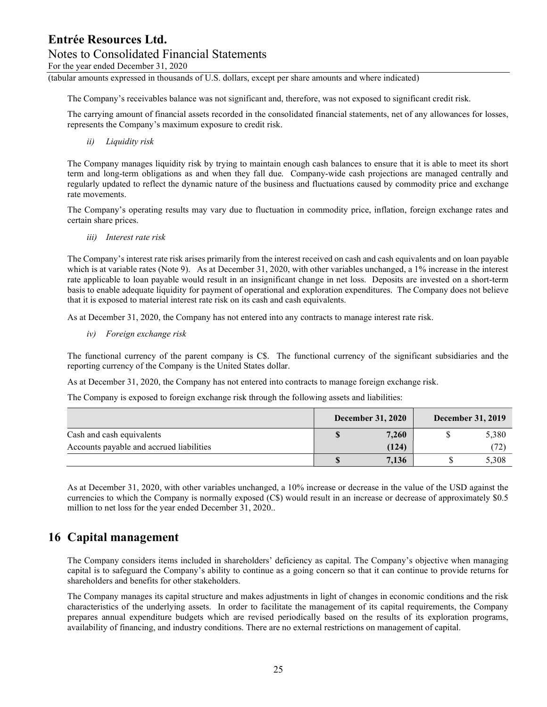(tabular amounts expressed in thousands of U.S. dollars, except per share amounts and where indicated)

The Company's receivables balance was not significant and, therefore, was not exposed to significant credit risk.

The carrying amount of financial assets recorded in the consolidated financial statements, net of any allowances for losses, represents the Company's maximum exposure to credit risk.

ii) Liquidity risk

The Company manages liquidity risk by trying to maintain enough cash balances to ensure that it is able to meet its short term and long-term obligations as and when they fall due. Company-wide cash projections are managed centrally and regularly updated to reflect the dynamic nature of the business and fluctuations caused by commodity price and exchange rate movements.

The Company's operating results may vary due to fluctuation in commodity price, inflation, foreign exchange rates and certain share prices.

iii) Interest rate risk

The Company's interest rate risk arises primarily from the interest received on cash and cash equivalents and on loan payable which is at variable rates (Note 9). As at December 31, 2020, with other variables unchanged, a 1% increase in the interest rate applicable to loan payable would result in an insignificant change in net loss. Deposits are invested on a short-term basis to enable adequate liquidity for payment of operational and exploration expenditures. The Company does not believe that it is exposed to material interest rate risk on its cash and cash equivalents.

As at December 31, 2020, the Company has not entered into any contracts to manage interest rate risk.

iv) Foreign exchange risk

The functional currency of the parent company is C\$. The functional currency of the significant subsidiaries and the reporting currency of the Company is the United States dollar.

As at December 31, 2020, the Company has not entered into contracts to manage foreign exchange risk.

The Company is exposed to foreign exchange risk through the following assets and liabilities:

|                                          | <b>December 31, 2020</b> | <b>December 31, 2019</b> |
|------------------------------------------|--------------------------|--------------------------|
| Cash and cash equivalents                | 7.260                    | 5,380                    |
| Accounts payable and accrued liabilities | (124)                    |                          |
|                                          | 7,136                    | 5,308                    |

As at December 31, 2020, with other variables unchanged, a 10% increase or decrease in the value of the USD against the currencies to which the Company is normally exposed (C\$) would result in an increase or decrease of approximately \$0.5 million to net loss for the year ended December 31, 2020..

### 16 Capital management

The Company considers items included in shareholders' deficiency as capital. The Company's objective when managing capital is to safeguard the Company's ability to continue as a going concern so that it can continue to provide returns for shareholders and benefits for other stakeholders.

The Company manages its capital structure and makes adjustments in light of changes in economic conditions and the risk characteristics of the underlying assets. In order to facilitate the management of its capital requirements, the Company prepares annual expenditure budgets which are revised periodically based on the results of its exploration programs, availability of financing, and industry conditions. There are no external restrictions on management of capital.